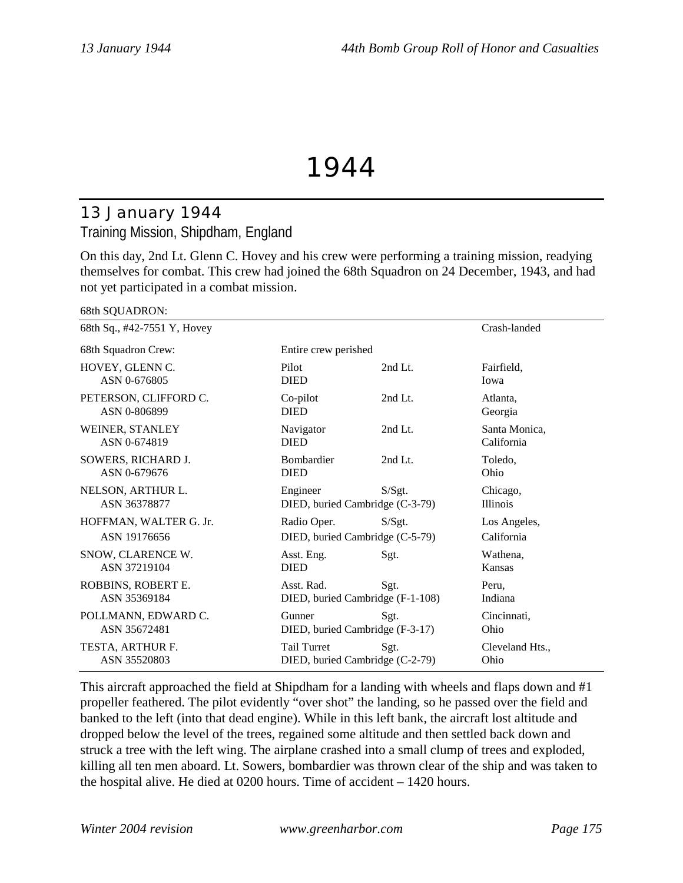# 1944

# 13 January 1944 Training Mission, Shipdham, England

On this day, 2nd Lt. Glenn C. Hovey and his crew were performing a training mission, readying themselves for combat. This crew had joined the 68th Squadron on 24 December, 1943, and had not yet participated in a combat mission.

| $\sim$                                 |                                                       |         |                             |  |
|----------------------------------------|-------------------------------------------------------|---------|-----------------------------|--|
| 68th Sq., #42-7551 Y, Hovey            |                                                       |         | Crash-landed                |  |
| 68th Squadron Crew:                    | Entire crew perished                                  |         |                             |  |
| HOVEY, GLENN C.<br>ASN 0-676805        | Pilot<br><b>DIED</b>                                  | 2nd Lt. | Fairfield,<br>Iowa          |  |
| PETERSON, CLIFFORD C.<br>ASN 0-806899  | Co-pilot<br><b>DIED</b>                               | 2nd Lt. | Atlanta,<br>Georgia         |  |
| WEINER, STANLEY<br>ASN 0-674819        | Navigator<br><b>DIED</b>                              | 2nd Lt. | Santa Monica,<br>California |  |
| SOWERS, RICHARD J.<br>ASN 0-679676     | <b>Bombardier</b><br><b>DIED</b>                      | 2nd Lt. | Toledo,<br>Ohio             |  |
| NELSON, ARTHUR L.<br>ASN 36378877      | Engineer<br>DIED, buried Cambridge (C-3-79)           | S/Sgt.  | Chicago,<br><b>Illinois</b> |  |
| HOFFMAN, WALTER G. Jr.<br>ASN 19176656 | Radio Oper.<br>DIED, buried Cambridge (C-5-79)        | S/Sgt.  | Los Angeles,<br>California  |  |
| SNOW, CLARENCE W.<br>ASN 37219104      | Asst. Eng.<br><b>DIED</b>                             | Sgt.    | Wathena,<br>Kansas          |  |
| ROBBINS, ROBERT E.<br>ASN 35369184     | Asst. Rad.<br>DIED, buried Cambridge (F-1-108)        | Sgt.    | Peru,<br>Indiana            |  |
| POLLMANN, EDWARD C.<br>ASN 35672481    | Gunner<br>DIED, buried Cambridge (F-3-17)             | Sgt.    | Cincinnati,<br>Ohio         |  |
| TESTA, ARTHUR F.<br>ASN 35520803       | <b>Tail Turret</b><br>DIED, buried Cambridge (C-2-79) | Sgt.    | Cleveland Hts.,<br>Ohio     |  |

This aircraft approached the field at Shipdham for a landing with wheels and flaps down and #1 propeller feathered. The pilot evidently "over shot" the landing, so he passed over the field and banked to the left (into that dead engine). While in this left bank, the aircraft lost altitude and dropped below the level of the trees, regained some altitude and then settled back down and struck a tree with the left wing. The airplane crashed into a small clump of trees and exploded, killing all ten men aboard. Lt. Sowers, bombardier was thrown clear of the ship and was taken to the hospital alive. He died at 0200 hours. Time of accident – 1420 hours.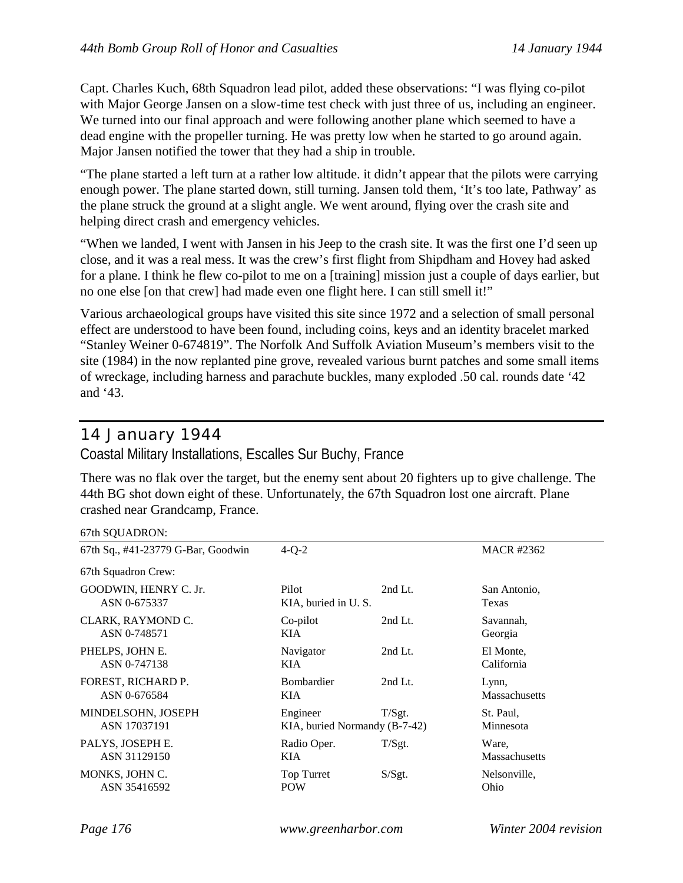Capt. Charles Kuch, 68th Squadron lead pilot, added these observations: "I was flying co-pilot with Major George Jansen on a slow-time test check with just three of us, including an engineer. We turned into our final approach and were following another plane which seemed to have a dead engine with the propeller turning. He was pretty low when he started to go around again. Major Jansen notified the tower that they had a ship in trouble.

"The plane started a left turn at a rather low altitude. it didn't appear that the pilots were carrying enough power. The plane started down, still turning. Jansen told them, 'It's too late, Pathway' as the plane struck the ground at a slight angle. We went around, flying over the crash site and helping direct crash and emergency vehicles.

"When we landed, I went with Jansen in his Jeep to the crash site. It was the first one I'd seen up close, and it was a real mess. It was the crew's first flight from Shipdham and Hovey had asked for a plane. I think he flew co-pilot to me on a [training] mission just a couple of days earlier, but no one else [on that crew] had made even one flight here. I can still smell it!"

Various archaeological groups have visited this site since 1972 and a selection of small personal effect are understood to have been found, including coins, keys and an identity bracelet marked "Stanley Weiner 0-674819". The Norfolk And Suffolk Aviation Museum's members visit to the site (1984) in the now replanted pine grove, revealed various burnt patches and some small items of wreckage, including harness and parachute buckles, many exploded .50 cal. rounds date '42 and '43.

## 14 January 1944

Coastal Military Installations, Escalles Sur Buchy, France

There was no flak over the target, but the enemy sent about 20 fighters up to give challenge. The 44th BG shot down eight of these. Unfortunately, the 67th Squadron lost one aircraft. Plane crashed near Grandcamp, France.

### $67th$  SOUADRON $\cdot$

| $\frac{1}{2}$                         |                                           |           |                               |  |
|---------------------------------------|-------------------------------------------|-----------|-------------------------------|--|
| 67th Sq., #41-23779 G-Bar, Goodwin    | $4-Q-2$                                   |           | <b>MACR #2362</b>             |  |
| 67th Squadron Crew:                   |                                           |           |                               |  |
| GOODWIN, HENRY C. Jr.<br>ASN 0-675337 | Pilot<br>KIA, buried in U.S.              | $2nd$ Lt. | San Antonio,<br>Texas         |  |
| CLARK, RAYMOND C.<br>ASN 0-748571     | Co-pilot<br>KIA                           | 2nd Lt.   | Savannah,<br>Georgia          |  |
| PHELPS, JOHN E.<br>ASN 0-747138       | Navigator<br>KIA                          | $2nd$ Lt. | El Monte,<br>California       |  |
| FOREST, RICHARD P.<br>ASN 0-676584    | <b>Bombardier</b><br>KIA                  | $2nd$ Lt. | Lynn,<br><b>Massachusetts</b> |  |
| MINDELSOHN, JOSEPH<br>ASN 17037191    | Engineer<br>KIA, buried Normandy (B-7-42) | T/Sgt.    | St. Paul,<br>Minnesota        |  |
| PALYS, JOSEPH E.<br>ASN 31129150      | Radio Oper.<br>KIA.                       | T/Sgt.    | Ware,<br><b>Massachusetts</b> |  |
| MONKS, JOHN C.<br>ASN 35416592        | Top Turret<br>POW                         | S/Sgt.    | Nelsonville,<br>Ohio          |  |
|                                       |                                           |           |                               |  |

*Page 176 www.greenharbor.com Winter 2004 revision*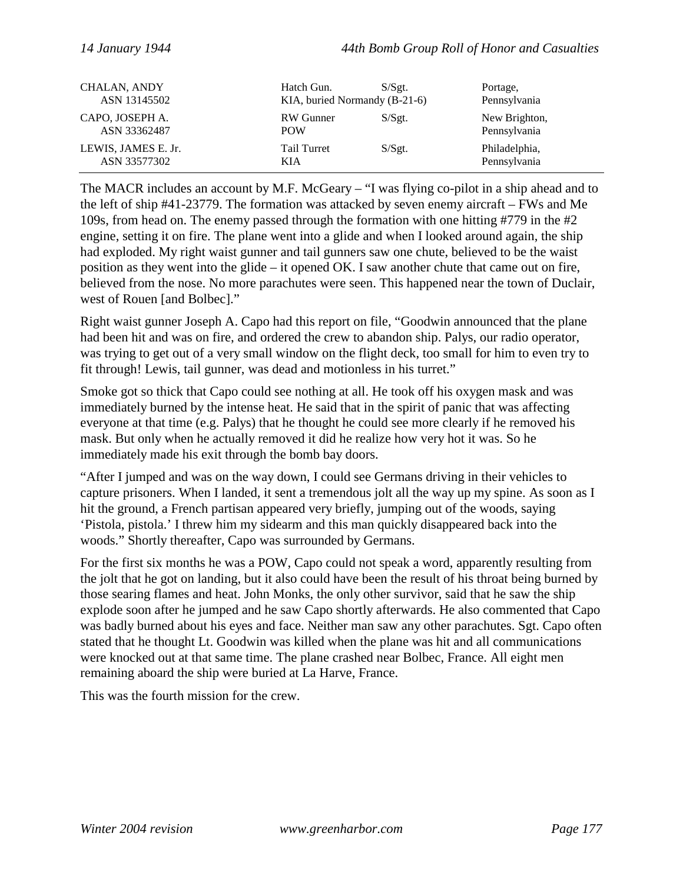| <b>CHALAN, ANDY</b> | Hatch Gun.                    | $S/S$ gt. | Portage,      |
|---------------------|-------------------------------|-----------|---------------|
| ASN 13145502        | KIA, buried Normandy (B-21-6) |           | Pennsylvania  |
| CAPO, JOSEPH A.     | RW Gunner                     | S/Sgt.    | New Brighton, |
| ASN 33362487        | <b>POW</b>                    |           | Pennsylvania  |
| LEWIS, JAMES E. Jr. | Tail Turret                   | S/Sgt.    | Philadelphia, |
| ASN 33577302        | KIA                           |           | Pennsylvania  |

The MACR includes an account by M.F. McGeary – "I was flying co-pilot in a ship ahead and to the left of ship #41-23779. The formation was attacked by seven enemy aircraft – FWs and Me 109s, from head on. The enemy passed through the formation with one hitting #779 in the #2 engine, setting it on fire. The plane went into a glide and when I looked around again, the ship had exploded. My right waist gunner and tail gunners saw one chute, believed to be the waist position as they went into the glide – it opened OK. I saw another chute that came out on fire, believed from the nose. No more parachutes were seen. This happened near the town of Duclair, west of Rouen [and Bolbec]."

Right waist gunner Joseph A. Capo had this report on file, "Goodwin announced that the plane had been hit and was on fire, and ordered the crew to abandon ship. Palys, our radio operator, was trying to get out of a very small window on the flight deck, too small for him to even try to fit through! Lewis, tail gunner, was dead and motionless in his turret."

Smoke got so thick that Capo could see nothing at all. He took off his oxygen mask and was immediately burned by the intense heat. He said that in the spirit of panic that was affecting everyone at that time (e.g. Palys) that he thought he could see more clearly if he removed his mask. But only when he actually removed it did he realize how very hot it was. So he immediately made his exit through the bomb bay doors.

"After I jumped and was on the way down, I could see Germans driving in their vehicles to capture prisoners. When I landed, it sent a tremendous jolt all the way up my spine. As soon as I hit the ground, a French partisan appeared very briefly, jumping out of the woods, saying 'Pistola, pistola.' I threw him my sidearm and this man quickly disappeared back into the woods." Shortly thereafter, Capo was surrounded by Germans.

For the first six months he was a POW, Capo could not speak a word, apparently resulting from the jolt that he got on landing, but it also could have been the result of his throat being burned by those searing flames and heat. John Monks, the only other survivor, said that he saw the ship explode soon after he jumped and he saw Capo shortly afterwards. He also commented that Capo was badly burned about his eyes and face. Neither man saw any other parachutes. Sgt. Capo often stated that he thought Lt. Goodwin was killed when the plane was hit and all communications were knocked out at that same time. The plane crashed near Bolbec, France. All eight men remaining aboard the ship were buried at La Harve, France.

This was the fourth mission for the crew.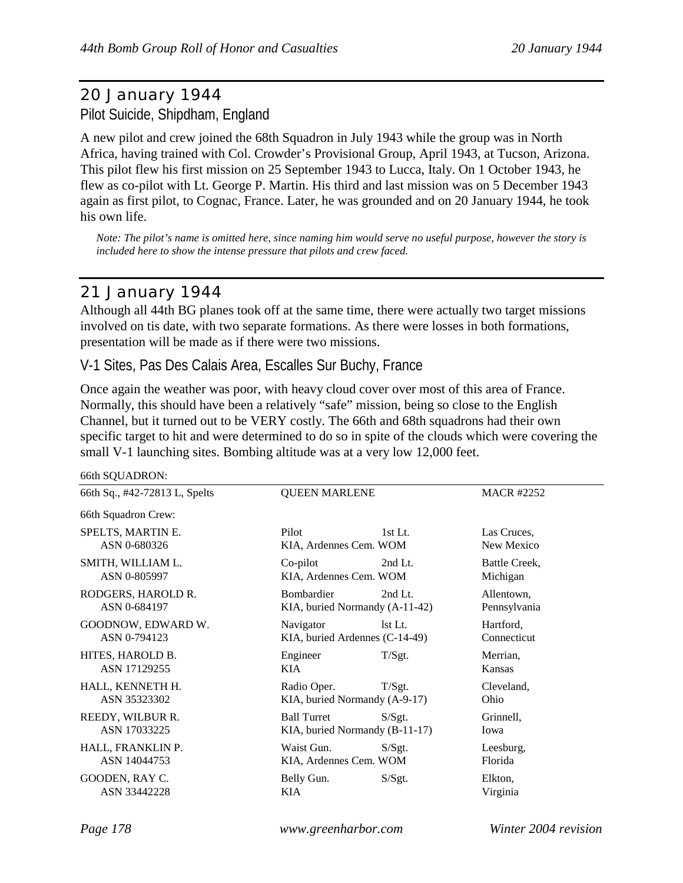# 20 January 1944 Pilot Suicide, Shipdham, England

A new pilot and crew joined the 68th Squadron in July 1943 while the group was in North Africa, having trained with Col. Crowder's Provisional Group, April 1943, at Tucson, Arizona. This pilot flew his first mission on 25 September 1943 to Lucca, Italy. On 1 October 1943, he flew as co-pilot with Lt. George P. Martin. His third and last mission was on 5 December 1943 again as first pilot, to Cognac, France. Later, he was grounded and on 20 January 1944, he took his own life.

*Note: The pilot's name is omitted here, since naming him would serve no useful purpose, however the story is included here to show the intense pressure that pilots and crew faced.*

# 21 January 1944

66th SQUADRON:

Although all 44th BG planes took off at the same time, there were actually two target missions involved on tis date, with two separate formations. As there were losses in both formations, presentation will be made as if there were two missions.

## V-1 Sites, Pas Des Calais Area, Escalles Sur Buchy, France

Once again the weather was poor, with heavy cloud cover over most of this area of France. Normally, this should have been a relatively "safe" mission, being so close to the English Channel, but it turned out to be VERY costly. The 66th and 68th squadrons had their own specific target to hit and were determined to do so in spite of the clouds which were covering the small V-1 launching sites. Bombing altitude was at a very low 12,000 feet.

| 66th SQUADRON:                     |                                                                |                            |
|------------------------------------|----------------------------------------------------------------|----------------------------|
| 66th Sq., #42-72813 L, Spelts      | <b>QUEEN MARLENE</b>                                           | <b>MACR #2252</b>          |
| 66th Squadron Crew:                |                                                                |                            |
| SPELTS, MARTIN E.<br>ASN 0-680326  | Pilot<br>$1st$ Lt.<br>KIA, Ardennes Cem. WOM                   | Las Cruces,<br>New Mexico  |
| SMITH, WILLIAM L.<br>ASN 0-805997  | Co-pilot<br>2nd Lt.<br>KIA, Ardennes Cem. WOM                  | Battle Creek,<br>Michigan  |
| RODGERS, HAROLD R.<br>ASN 0-684197 | Bombardier<br>2nd Lt.<br>KIA, buried Normandy (A-11-42)        | Allentown,<br>Pennsylvania |
| GOODNOW, EDWARD W.<br>ASN 0-794123 | Navigator<br>lst Lt.<br>KIA, buried Ardennes (C-14-49)         | Hartford,<br>Connecticut   |
| HITES, HAROLD B.<br>ASN 17129255   | Engineer<br>T/Sgt.<br><b>KIA</b>                               | Merrian,<br>Kansas         |
| HALL, KENNETH H.<br>ASN 35323302   | Radio Oper.<br>T/Sgt.<br>KIA, buried Normandy (A-9-17)         | Cleveland,<br>Ohio         |
| REEDY, WILBUR R.<br>ASN 17033225   | <b>Ball Turret</b><br>S/Sgt.<br>KIA, buried Normandy (B-11-17) | Grinnell,<br>Iowa          |
| HALL, FRANKLIN P.<br>ASN 14044753  | Waist Gun.<br>S/Sgt.<br>KIA, Ardennes Cem. WOM                 | Leesburg,<br>Florida       |
| GOODEN, RAY C.<br>ASN 33442228     | Belly Gun.<br>S/Sgt.<br>KIA                                    | Elkton,<br>Virginia        |
|                                    |                                                                |                            |

*Page 178 www.greenharbor.com Winter 2004 revision*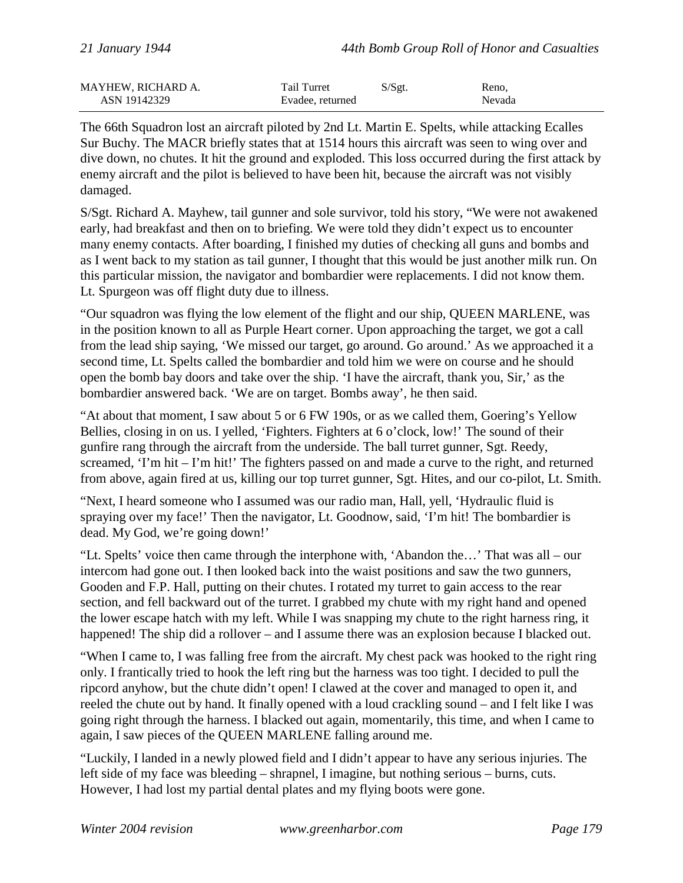| <b>MAYHEW, RICHARD A.</b> | Tail Turret      | S/Sgt. | Reno.  |
|---------------------------|------------------|--------|--------|
| ASN 19142329              | Evadee, returned |        | Nevada |

The 66th Squadron lost an aircraft piloted by 2nd Lt. Martin E. Spelts, while attacking Ecalles Sur Buchy. The MACR briefly states that at 1514 hours this aircraft was seen to wing over and dive down, no chutes. It hit the ground and exploded. This loss occurred during the first attack by enemy aircraft and the pilot is believed to have been hit, because the aircraft was not visibly damaged.

S/Sgt. Richard A. Mayhew, tail gunner and sole survivor, told his story, "We were not awakened early, had breakfast and then on to briefing. We were told they didn't expect us to encounter many enemy contacts. After boarding, I finished my duties of checking all guns and bombs and as I went back to my station as tail gunner, I thought that this would be just another milk run. On this particular mission, the navigator and bombardier were replacements. I did not know them. Lt. Spurgeon was off flight duty due to illness.

"Our squadron was flying the low element of the flight and our ship, QUEEN MARLENE, was in the position known to all as Purple Heart corner. Upon approaching the target, we got a call from the lead ship saying, 'We missed our target, go around. Go around.' As we approached it a second time, Lt. Spelts called the bombardier and told him we were on course and he should open the bomb bay doors and take over the ship. 'I have the aircraft, thank you, Sir,' as the bombardier answered back. 'We are on target. Bombs away', he then said.

"At about that moment, I saw about 5 or 6 FW 190s, or as we called them, Goering's Yellow Bellies, closing in on us. I yelled, 'Fighters. Fighters at 6 o'clock, low!' The sound of their gunfire rang through the aircraft from the underside. The ball turret gunner, Sgt. Reedy, screamed, 'I'm hit – I'm hit!' The fighters passed on and made a curve to the right, and returned from above, again fired at us, killing our top turret gunner, Sgt. Hites, and our co-pilot, Lt. Smith.

"Next, I heard someone who I assumed was our radio man, Hall, yell, 'Hydraulic fluid is spraying over my face!' Then the navigator, Lt. Goodnow, said, 'I'm hit! The bombardier is dead. My God, we're going down!'

"Lt. Spelts' voice then came through the interphone with, 'Abandon the…' That was all – our intercom had gone out. I then looked back into the waist positions and saw the two gunners, Gooden and F.P. Hall, putting on their chutes. I rotated my turret to gain access to the rear section, and fell backward out of the turret. I grabbed my chute with my right hand and opened the lower escape hatch with my left. While I was snapping my chute to the right harness ring, it happened! The ship did a rollover – and I assume there was an explosion because I blacked out.

"When I came to, I was falling free from the aircraft. My chest pack was hooked to the right ring only. I frantically tried to hook the left ring but the harness was too tight. I decided to pull the ripcord anyhow, but the chute didn't open! I clawed at the cover and managed to open it, and reeled the chute out by hand. It finally opened with a loud crackling sound – and I felt like I was going right through the harness. I blacked out again, momentarily, this time, and when I came to again, I saw pieces of the QUEEN MARLENE falling around me.

"Luckily, I landed in a newly plowed field and I didn't appear to have any serious injuries. The left side of my face was bleeding – shrapnel, I imagine, but nothing serious – burns, cuts. However, I had lost my partial dental plates and my flying boots were gone.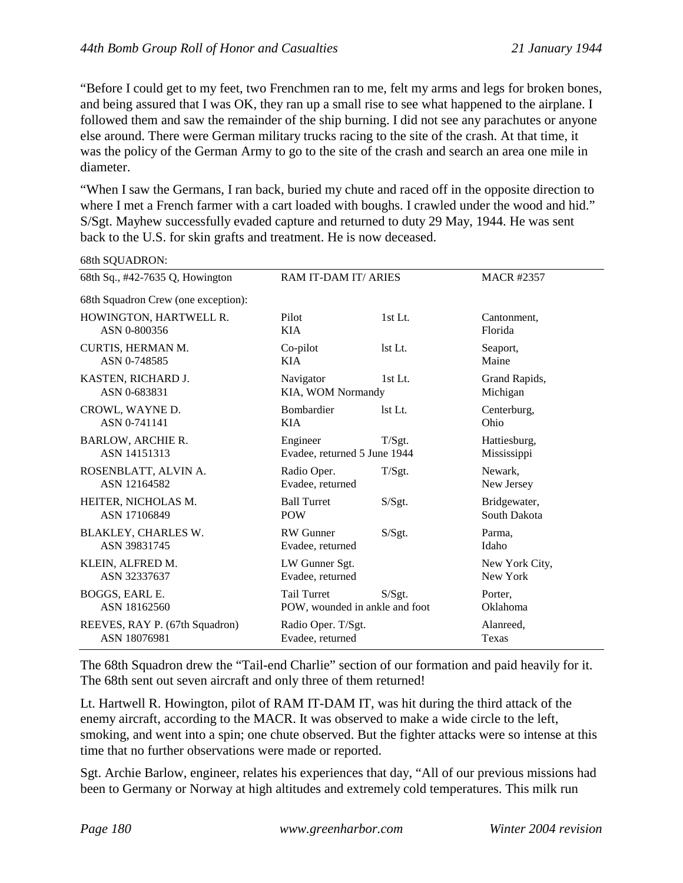"Before I could get to my feet, two Frenchmen ran to me, felt my arms and legs for broken bones, and being assured that I was OK, they ran up a small rise to see what happened to the airplane. I followed them and saw the remainder of the ship burning. I did not see any parachutes or anyone else around. There were German military trucks racing to the site of the crash. At that time, it was the policy of the German Army to go to the site of the crash and search an area one mile in diameter.

"When I saw the Germans, I ran back, buried my chute and raced off in the opposite direction to where I met a French farmer with a cart loaded with boughs. I crawled under the wood and hid." S/Sgt. Mayhew successfully evaded capture and returned to duty 29 May, 1944. He was sent back to the U.S. for skin grafts and treatment. He is now deceased.

| 68th Sq., #42-7635 Q, Howington     | RAM IT-DAM IT/ ARIES           |         | <b>MACR #2357</b> |
|-------------------------------------|--------------------------------|---------|-------------------|
| 68th Squadron Crew (one exception): |                                |         |                   |
| HOWINGTON, HARTWELL R.              | Pilot                          | 1st Lt. | Cantonment,       |
| ASN 0-800356                        | <b>KIA</b>                     |         | Florida           |
| CURTIS, HERMAN M.                   | Co-pilot                       | lst Lt. | Seaport,          |
| ASN 0-748585                        | <b>KIA</b>                     |         | Maine             |
| KASTEN, RICHARD J.                  | Navigator                      | 1st Lt. | Grand Rapids,     |
| ASN 0-683831                        | KIA, WOM Normandy              |         | Michigan          |
| CROWL, WAYNE D.                     | Bombardier                     | 1st Lt. | Centerburg,       |
| ASN 0-741141                        | <b>KIA</b>                     |         | Ohio              |
| <b>BARLOW, ARCHIE R.</b>            | Engineer                       | T/Sgt.  | Hattiesburg,      |
| ASN 14151313                        | Evadee, returned 5 June 1944   |         | Mississippi       |
| ROSENBLATT, ALVIN A.                | Radio Oper.                    | T/Sgt.  | Newark,           |
| ASN 12164582                        | Evadee, returned               |         | New Jersey        |
| HEITER, NICHOLAS M.                 | <b>Ball Turret</b>             | S/Sgt.  | Bridgewater,      |
| ASN 17106849                        | <b>POW</b>                     |         | South Dakota      |
| BLAKLEY, CHARLES W.                 | <b>RW</b> Gunner               | S/Sgt.  | Parma,            |
| ASN 39831745                        | Evadee, returned               |         | Idaho             |
| KLEIN, ALFRED M.                    | LW Gunner Sgt.                 |         | New York City,    |
| ASN 32337637                        | Evadee, returned               |         | New York          |
| BOGGS, EARL E.                      | <b>Tail Turret</b>             | S/Sgt.  | Porter,           |
| ASN 18162560                        | POW, wounded in ankle and foot |         | Oklahoma          |
| REEVES, RAY P. (67th Squadron)      | Radio Oper. T/Sgt.             |         | Alanreed,         |
| ASN 18076981                        | Evadee, returned               |         | Texas             |

 $68th$  SOUADRON $\cdot$ 

The 68th Squadron drew the "Tail-end Charlie" section of our formation and paid heavily for it. The 68th sent out seven aircraft and only three of them returned!

Lt. Hartwell R. Howington, pilot of RAM IT-DAM IT, was hit during the third attack of the enemy aircraft, according to the MACR. It was observed to make a wide circle to the left, smoking, and went into a spin; one chute observed. But the fighter attacks were so intense at this time that no further observations were made or reported.

Sgt. Archie Barlow, engineer, relates his experiences that day, "All of our previous missions had been to Germany or Norway at high altitudes and extremely cold temperatures. This milk run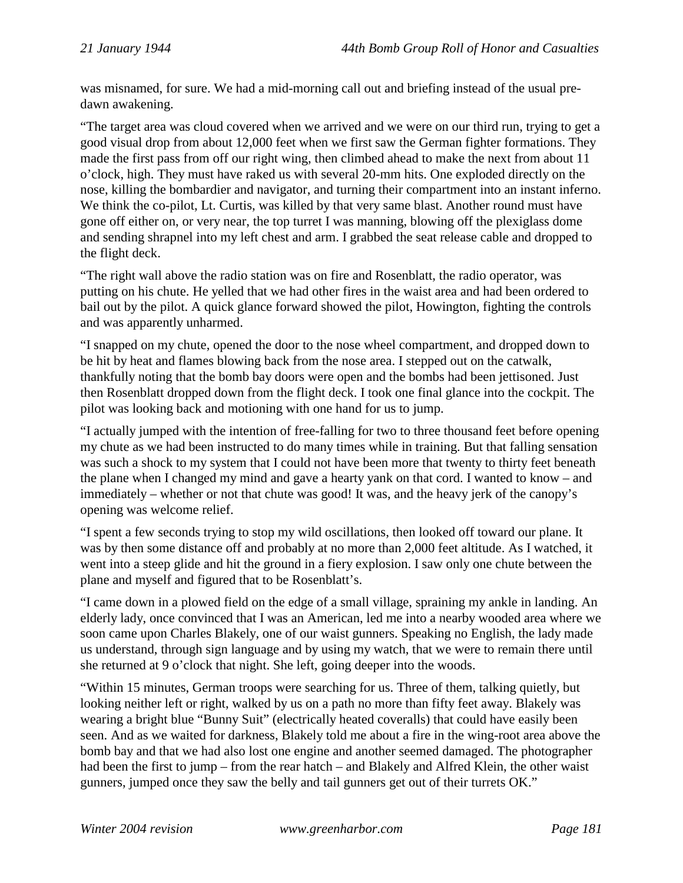was misnamed, for sure. We had a mid-morning call out and briefing instead of the usual predawn awakening.

"The target area was cloud covered when we arrived and we were on our third run, trying to get a good visual drop from about 12,000 feet when we first saw the German fighter formations. They made the first pass from off our right wing, then climbed ahead to make the next from about 11 o'clock, high. They must have raked us with several 20-mm hits. One exploded directly on the nose, killing the bombardier and navigator, and turning their compartment into an instant inferno. We think the co-pilot, Lt. Curtis, was killed by that very same blast. Another round must have gone off either on, or very near, the top turret I was manning, blowing off the plexiglass dome and sending shrapnel into my left chest and arm. I grabbed the seat release cable and dropped to the flight deck.

"The right wall above the radio station was on fire and Rosenblatt, the radio operator, was putting on his chute. He yelled that we had other fires in the waist area and had been ordered to bail out by the pilot. A quick glance forward showed the pilot, Howington, fighting the controls and was apparently unharmed.

"I snapped on my chute, opened the door to the nose wheel compartment, and dropped down to be hit by heat and flames blowing back from the nose area. I stepped out on the catwalk, thankfully noting that the bomb bay doors were open and the bombs had been jettisoned. Just then Rosenblatt dropped down from the flight deck. I took one final glance into the cockpit. The pilot was looking back and motioning with one hand for us to jump.

"I actually jumped with the intention of free-falling for two to three thousand feet before opening my chute as we had been instructed to do many times while in training. But that falling sensation was such a shock to my system that I could not have been more that twenty to thirty feet beneath the plane when I changed my mind and gave a hearty yank on that cord. I wanted to know – and immediately – whether or not that chute was good! It was, and the heavy jerk of the canopy's opening was welcome relief.

"I spent a few seconds trying to stop my wild oscillations, then looked off toward our plane. It was by then some distance off and probably at no more than 2,000 feet altitude. As I watched, it went into a steep glide and hit the ground in a fiery explosion. I saw only one chute between the plane and myself and figured that to be Rosenblatt's.

"I came down in a plowed field on the edge of a small village, spraining my ankle in landing. An elderly lady, once convinced that I was an American, led me into a nearby wooded area where we soon came upon Charles Blakely, one of our waist gunners. Speaking no English, the lady made us understand, through sign language and by using my watch, that we were to remain there until she returned at 9 o'clock that night. She left, going deeper into the woods.

"Within 15 minutes, German troops were searching for us. Three of them, talking quietly, but looking neither left or right, walked by us on a path no more than fifty feet away. Blakely was wearing a bright blue "Bunny Suit" (electrically heated coveralls) that could have easily been seen. And as we waited for darkness, Blakely told me about a fire in the wing-root area above the bomb bay and that we had also lost one engine and another seemed damaged. The photographer had been the first to jump – from the rear hatch – and Blakely and Alfred Klein, the other waist gunners, jumped once they saw the belly and tail gunners get out of their turrets OK."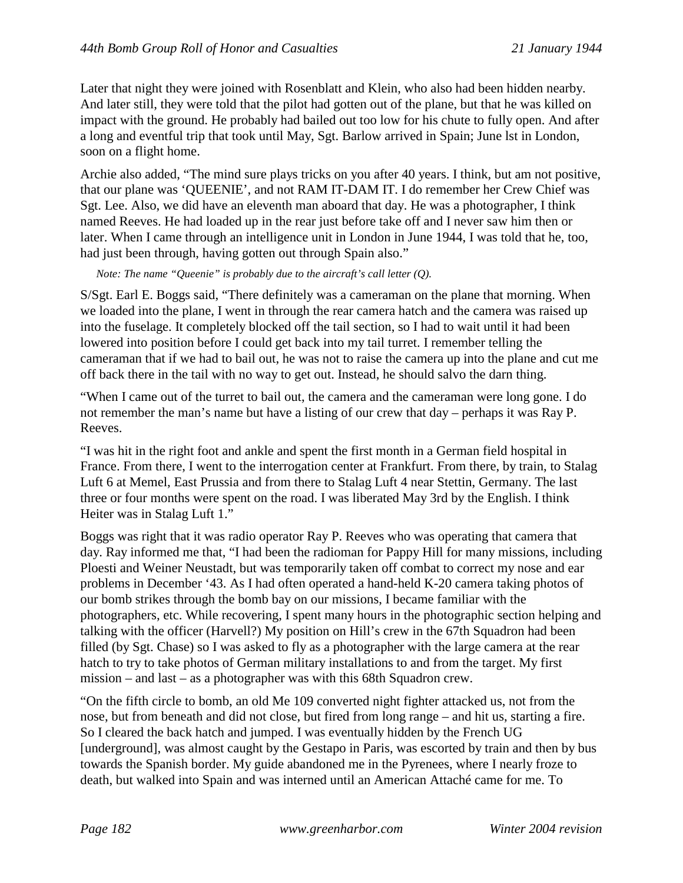Later that night they were joined with Rosenblatt and Klein, who also had been hidden nearby. And later still, they were told that the pilot had gotten out of the plane, but that he was killed on impact with the ground. He probably had bailed out too low for his chute to fully open. And after a long and eventful trip that took until May, Sgt. Barlow arrived in Spain; June lst in London, soon on a flight home.

Archie also added, "The mind sure plays tricks on you after 40 years. I think, but am not positive, that our plane was 'QUEENIE', and not RAM IT-DAM IT. I do remember her Crew Chief was Sgt. Lee. Also, we did have an eleventh man aboard that day. He was a photographer, I think named Reeves. He had loaded up in the rear just before take off and I never saw him then or later. When I came through an intelligence unit in London in June 1944, I was told that he, too, had just been through, having gotten out through Spain also."

*Note: The name "Queenie" is probably due to the aircraft's call letter (Q).*

S/Sgt. Earl E. Boggs said, "There definitely was a cameraman on the plane that morning. When we loaded into the plane, I went in through the rear camera hatch and the camera was raised up into the fuselage. It completely blocked off the tail section, so I had to wait until it had been lowered into position before I could get back into my tail turret. I remember telling the cameraman that if we had to bail out, he was not to raise the camera up into the plane and cut me off back there in the tail with no way to get out. Instead, he should salvo the darn thing.

"When I came out of the turret to bail out, the camera and the cameraman were long gone. I do not remember the man's name but have a listing of our crew that day – perhaps it was Ray P. Reeves.

"I was hit in the right foot and ankle and spent the first month in a German field hospital in France. From there, I went to the interrogation center at Frankfurt. From there, by train, to Stalag Luft 6 at Memel, East Prussia and from there to Stalag Luft 4 near Stettin, Germany. The last three or four months were spent on the road. I was liberated May 3rd by the English. I think Heiter was in Stalag Luft 1."

Boggs was right that it was radio operator Ray P. Reeves who was operating that camera that day. Ray informed me that, "I had been the radioman for Pappy Hill for many missions, including Ploesti and Weiner Neustadt, but was temporarily taken off combat to correct my nose and ear problems in December '43. As I had often operated a hand-held K-20 camera taking photos of our bomb strikes through the bomb bay on our missions, I became familiar with the photographers, etc. While recovering, I spent many hours in the photographic section helping and talking with the officer (Harvell?) My position on Hill's crew in the 67th Squadron had been filled (by Sgt. Chase) so I was asked to fly as a photographer with the large camera at the rear hatch to try to take photos of German military installations to and from the target. My first mission – and last – as a photographer was with this 68th Squadron crew.

"On the fifth circle to bomb, an old Me 109 converted night fighter attacked us, not from the nose, but from beneath and did not close, but fired from long range – and hit us, starting a fire. So I cleared the back hatch and jumped. I was eventually hidden by the French UG [underground], was almost caught by the Gestapo in Paris, was escorted by train and then by bus towards the Spanish border. My guide abandoned me in the Pyrenees, where I nearly froze to death, but walked into Spain and was interned until an American Attaché came for me. To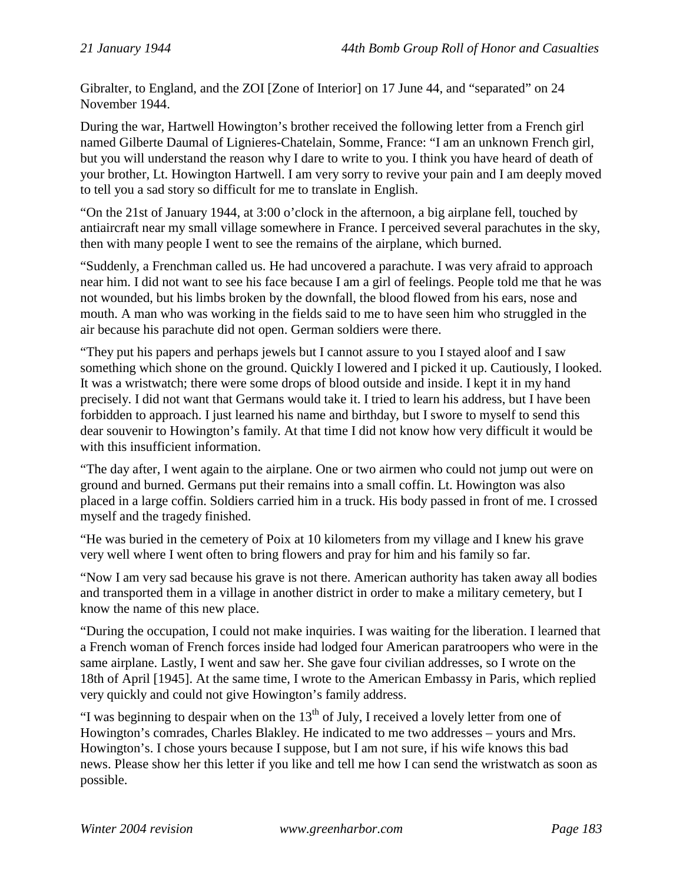Gibralter, to England, and the ZOI [Zone of Interior] on 17 June 44, and "separated" on 24 November 1944.

During the war, Hartwell Howington's brother received the following letter from a French girl named Gilberte Daumal of Lignieres-Chatelain, Somme, France: "I am an unknown French girl, but you will understand the reason why I dare to write to you. I think you have heard of death of your brother, Lt. Howington Hartwell. I am very sorry to revive your pain and I am deeply moved to tell you a sad story so difficult for me to translate in English.

"On the 21st of January 1944, at 3:00 o'clock in the afternoon, a big airplane fell, touched by antiaircraft near my small village somewhere in France. I perceived several parachutes in the sky, then with many people I went to see the remains of the airplane, which burned.

"Suddenly, a Frenchman called us. He had uncovered a parachute. I was very afraid to approach near him. I did not want to see his face because I am a girl of feelings. People told me that he was not wounded, but his limbs broken by the downfall, the blood flowed from his ears, nose and mouth. A man who was working in the fields said to me to have seen him who struggled in the air because his parachute did not open. German soldiers were there.

"They put his papers and perhaps jewels but I cannot assure to you I stayed aloof and I saw something which shone on the ground. Quickly I lowered and I picked it up. Cautiously, I looked. It was a wristwatch; there were some drops of blood outside and inside. I kept it in my hand precisely. I did not want that Germans would take it. I tried to learn his address, but I have been forbidden to approach. I just learned his name and birthday, but I swore to myself to send this dear souvenir to Howington's family. At that time I did not know how very difficult it would be with this insufficient information.

"The day after, I went again to the airplane. One or two airmen who could not jump out were on ground and burned. Germans put their remains into a small coffin. Lt. Howington was also placed in a large coffin. Soldiers carried him in a truck. His body passed in front of me. I crossed myself and the tragedy finished.

"He was buried in the cemetery of Poix at 10 kilometers from my village and I knew his grave very well where I went often to bring flowers and pray for him and his family so far.

"Now I am very sad because his grave is not there. American authority has taken away all bodies and transported them in a village in another district in order to make a military cemetery, but I know the name of this new place.

"During the occupation, I could not make inquiries. I was waiting for the liberation. I learned that a French woman of French forces inside had lodged four American paratroopers who were in the same airplane. Lastly, I went and saw her. She gave four civilian addresses, so I wrote on the 18th of April [1945]. At the same time, I wrote to the American Embassy in Paris, which replied very quickly and could not give Howington's family address.

"I was beginning to despair when on the  $13<sup>th</sup>$  of July, I received a lovely letter from one of Howington's comrades, Charles Blakley. He indicated to me two addresses – yours and Mrs. Howington's. I chose yours because I suppose, but I am not sure, if his wife knows this bad news. Please show her this letter if you like and tell me how I can send the wristwatch as soon as possible.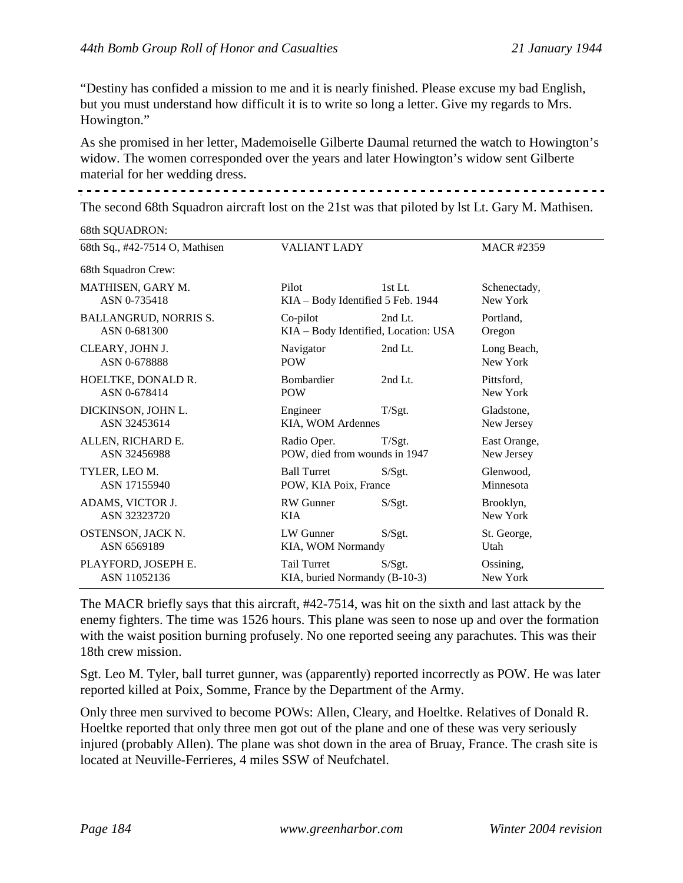"Destiny has confided a mission to me and it is nearly finished. Please excuse my bad English, but you must understand how difficult it is to write so long a letter. Give my regards to Mrs. Howington."

As she promised in her letter, Mademoiselle Gilberte Daumal returned the watch to Howington's widow. The women corresponded over the years and later Howington's widow sent Gilberte material for her wedding dress.

x

The second 68th Squadron aircraft lost on the 21st was that piloted by lst Lt. Gary M. Mathisen.

68th SQUADRON:

| 68th Sq., #42-7514 O, Mathisen | VALIANT LADY                         |           | <b>MACR #2359</b> |
|--------------------------------|--------------------------------------|-----------|-------------------|
| 68th Squadron Crew:            |                                      |           |                   |
| MATHISEN, GARY M.              | Pilot                                | $1st$ Lt. | Schenectady,      |
| ASN 0-735418                   | KIA - Body Identified 5 Feb. 1944    |           | New York          |
| <b>BALLANGRUD, NORRIS S.</b>   | Co-pilot                             | 2nd Lt.   | Portland,         |
| ASN 0-681300                   | KIA - Body Identified, Location: USA |           | Oregon            |
| CLEARY, JOHN J.                | Navigator                            | 2nd Lt.   | Long Beach,       |
| ASN 0-678888                   | <b>POW</b>                           |           | New York          |
| HOELTKE, DONALD R.             | <b>Bombardier</b>                    | 2nd Lt.   | Pittsford,        |
| ASN 0-678414                   | <b>POW</b>                           |           | New York          |
| DICKINSON, JOHN L.             | Engineer                             | T/Sgt.    | Gladstone,        |
| ASN 32453614                   | KIA, WOM Ardennes                    |           | New Jersey        |
| ALLEN, RICHARD E.              | Radio Oper.                          | $T/S$ gt. | East Orange,      |
| ASN 32456988                   | POW, died from wounds in 1947        |           | New Jersey        |
| TYLER, LEO M.                  | <b>Ball Turret</b>                   | S/Sgt.    | Glenwood,         |
| ASN 17155940                   | POW, KIA Poix, France                |           | Minnesota         |
| ADAMS, VICTOR J.               | RW Gunner                            | S/Sgt.    | Brooklyn,         |
| ASN 32323720                   | KIA                                  |           | New York          |
| OSTENSON, JACK N.              | LW Gunner                            | S/Sgt.    | St. George,       |
| ASN 6569189                    | KIA, WOM Normandy                    |           | Utah              |
| PLAYFORD, JOSEPH E.            | Tail Turret                          | S/Sgt.    | Ossining,         |
| ASN 11052136                   | KIA, buried Normandy (B-10-3)        |           | New York          |

The MACR briefly says that this aircraft, #42-7514, was hit on the sixth and last attack by the enemy fighters. The time was 1526 hours. This plane was seen to nose up and over the formation with the waist position burning profusely. No one reported seeing any parachutes. This was their 18th crew mission.

Sgt. Leo M. Tyler, ball turret gunner, was (apparently) reported incorrectly as POW. He was later reported killed at Poix, Somme, France by the Department of the Army.

Only three men survived to become POWs: Allen, Cleary, and Hoeltke. Relatives of Donald R. Hoeltke reported that only three men got out of the plane and one of these was very seriously injured (probably Allen). The plane was shot down in the area of Bruay, France. The crash site is located at Neuville-Ferrieres, 4 miles SSW of Neufchatel.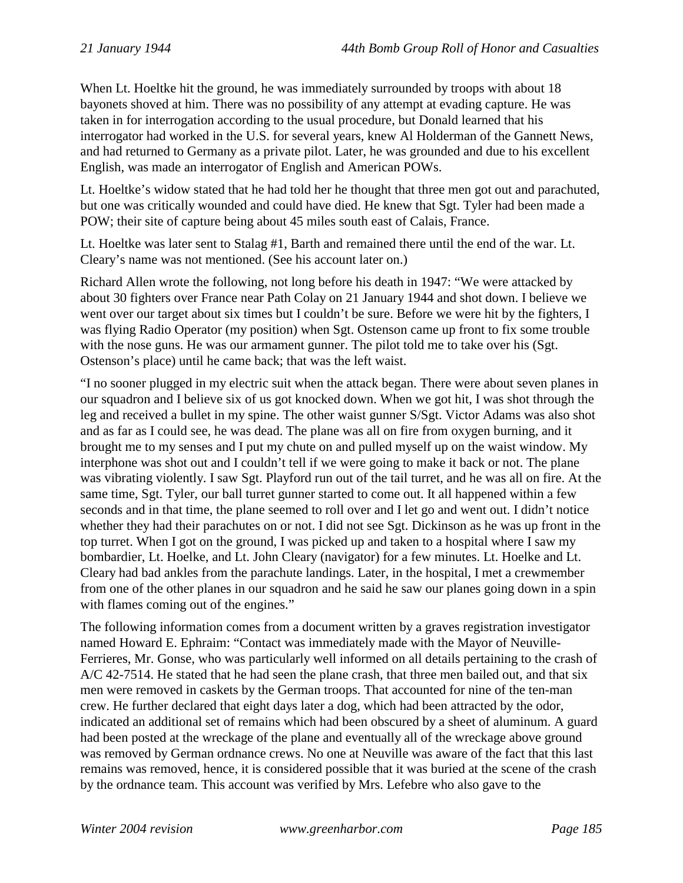When Lt. Hoeltke hit the ground, he was immediately surrounded by troops with about 18 bayonets shoved at him. There was no possibility of any attempt at evading capture. He was taken in for interrogation according to the usual procedure, but Donald learned that his interrogator had worked in the U.S. for several years, knew Al Holderman of the Gannett News, and had returned to Germany as a private pilot. Later, he was grounded and due to his excellent English, was made an interrogator of English and American POWs.

Lt. Hoeltke's widow stated that he had told her he thought that three men got out and parachuted, but one was critically wounded and could have died. He knew that Sgt. Tyler had been made a POW; their site of capture being about 45 miles south east of Calais, France.

Lt. Hoeltke was later sent to Stalag #1, Barth and remained there until the end of the war. Lt. Cleary's name was not mentioned. (See his account later on.)

Richard Allen wrote the following, not long before his death in 1947: "We were attacked by about 30 fighters over France near Path Colay on 21 January 1944 and shot down. I believe we went over our target about six times but I couldn't be sure. Before we were hit by the fighters, I was flying Radio Operator (my position) when Sgt. Ostenson came up front to fix some trouble with the nose guns. He was our armament gunner. The pilot told me to take over his (Sgt. Ostenson's place) until he came back; that was the left waist.

"I no sooner plugged in my electric suit when the attack began. There were about seven planes in our squadron and I believe six of us got knocked down. When we got hit, I was shot through the leg and received a bullet in my spine. The other waist gunner S/Sgt. Victor Adams was also shot and as far as I could see, he was dead. The plane was all on fire from oxygen burning, and it brought me to my senses and I put my chute on and pulled myself up on the waist window. My interphone was shot out and I couldn't tell if we were going to make it back or not. The plane was vibrating violently. I saw Sgt. Playford run out of the tail turret, and he was all on fire. At the same time, Sgt. Tyler, our ball turret gunner started to come out. It all happened within a few seconds and in that time, the plane seemed to roll over and I let go and went out. I didn't notice whether they had their parachutes on or not. I did not see Sgt. Dickinson as he was up front in the top turret. When I got on the ground, I was picked up and taken to a hospital where I saw my bombardier, Lt. Hoelke, and Lt. John Cleary (navigator) for a few minutes. Lt. Hoelke and Lt. Cleary had bad ankles from the parachute landings. Later, in the hospital, I met a crewmember from one of the other planes in our squadron and he said he saw our planes going down in a spin with flames coming out of the engines."

The following information comes from a document written by a graves registration investigator named Howard E. Ephraim: "Contact was immediately made with the Mayor of Neuville-Ferrieres, Mr. Gonse, who was particularly well informed on all details pertaining to the crash of A/C 42-7514. He stated that he had seen the plane crash, that three men bailed out, and that six men were removed in caskets by the German troops. That accounted for nine of the ten-man crew. He further declared that eight days later a dog, which had been attracted by the odor, indicated an additional set of remains which had been obscured by a sheet of aluminum. A guard had been posted at the wreckage of the plane and eventually all of the wreckage above ground was removed by German ordnance crews. No one at Neuville was aware of the fact that this last remains was removed, hence, it is considered possible that it was buried at the scene of the crash by the ordnance team. This account was verified by Mrs. Lefebre who also gave to the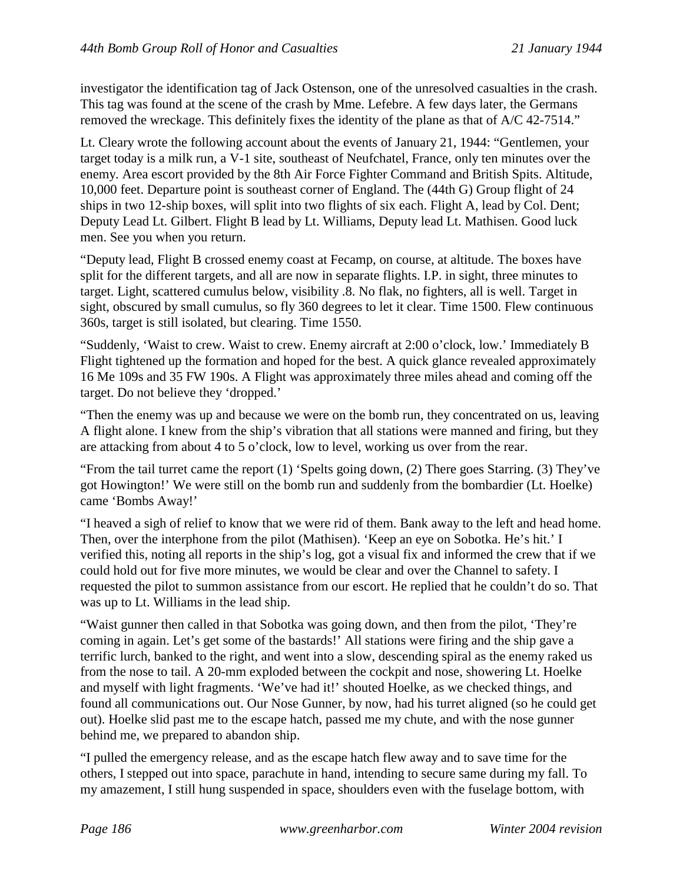investigator the identification tag of Jack Ostenson, one of the unresolved casualties in the crash. This tag was found at the scene of the crash by Mme. Lefebre. A few days later, the Germans removed the wreckage. This definitely fixes the identity of the plane as that of A/C 42-7514."

Lt. Cleary wrote the following account about the events of January 21, 1944: "Gentlemen, your target today is a milk run, a V-1 site, southeast of Neufchatel, France, only ten minutes over the enemy. Area escort provided by the 8th Air Force Fighter Command and British Spits. Altitude, 10,000 feet. Departure point is southeast corner of England. The (44th G) Group flight of 24 ships in two 12-ship boxes, will split into two flights of six each. Flight A, lead by Col. Dent; Deputy Lead Lt. Gilbert. Flight B lead by Lt. Williams, Deputy lead Lt. Mathisen. Good luck men. See you when you return.

"Deputy lead, Flight B crossed enemy coast at Fecamp, on course, at altitude. The boxes have split for the different targets, and all are now in separate flights. I.P. in sight, three minutes to target. Light, scattered cumulus below, visibility .8. No flak, no fighters, all is well. Target in sight, obscured by small cumulus, so fly 360 degrees to let it clear. Time 1500. Flew continuous 360s, target is still isolated, but clearing. Time 1550.

"Suddenly, 'Waist to crew. Waist to crew. Enemy aircraft at 2:00 o'clock, low.' Immediately B Flight tightened up the formation and hoped for the best. A quick glance revealed approximately 16 Me 109s and 35 FW 190s. A Flight was approximately three miles ahead and coming off the target. Do not believe they 'dropped.'

"Then the enemy was up and because we were on the bomb run, they concentrated on us, leaving A flight alone. I knew from the ship's vibration that all stations were manned and firing, but they are attacking from about 4 to 5 o'clock, low to level, working us over from the rear.

"From the tail turret came the report (1) 'Spelts going down, (2) There goes Starring. (3) They've got Howington!' We were still on the bomb run and suddenly from the bombardier (Lt. Hoelke) came 'Bombs Away!'

"I heaved a sigh of relief to know that we were rid of them. Bank away to the left and head home. Then, over the interphone from the pilot (Mathisen). 'Keep an eye on Sobotka. He's hit.' I verified this, noting all reports in the ship's log, got a visual fix and informed the crew that if we could hold out for five more minutes, we would be clear and over the Channel to safety. I requested the pilot to summon assistance from our escort. He replied that he couldn't do so. That was up to Lt. Williams in the lead ship.

"Waist gunner then called in that Sobotka was going down, and then from the pilot, 'They're coming in again. Let's get some of the bastards!' All stations were firing and the ship gave a terrific lurch, banked to the right, and went into a slow, descending spiral as the enemy raked us from the nose to tail. A 20-mm exploded between the cockpit and nose, showering Lt. Hoelke and myself with light fragments. 'We've had it!' shouted Hoelke, as we checked things, and found all communications out. Our Nose Gunner, by now, had his turret aligned (so he could get out). Hoelke slid past me to the escape hatch, passed me my chute, and with the nose gunner behind me, we prepared to abandon ship.

"I pulled the emergency release, and as the escape hatch flew away and to save time for the others, I stepped out into space, parachute in hand, intending to secure same during my fall. To my amazement, I still hung suspended in space, shoulders even with the fuselage bottom, with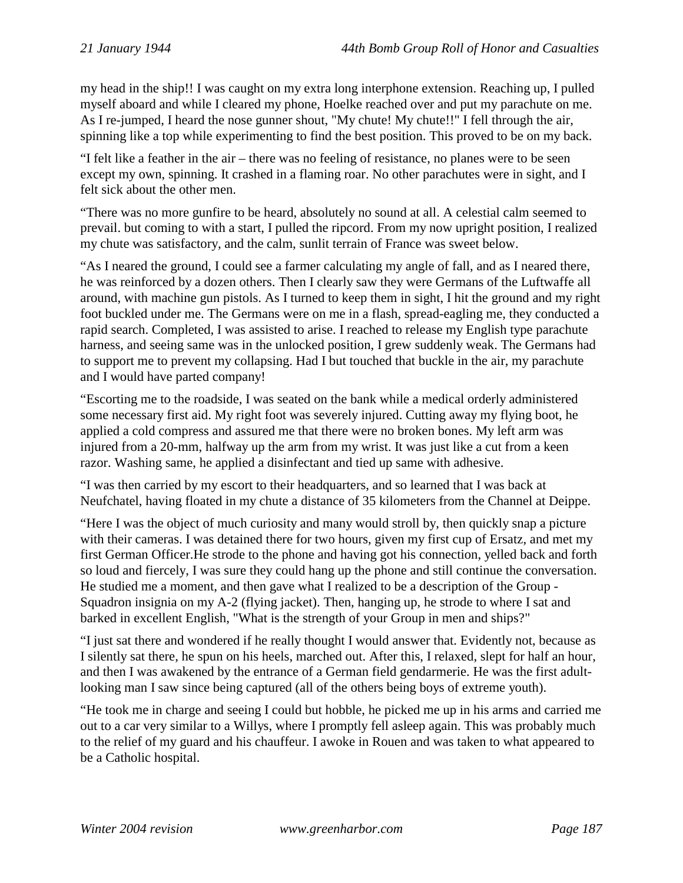my head in the ship!! I was caught on my extra long interphone extension. Reaching up, I pulled myself aboard and while I cleared my phone, Hoelke reached over and put my parachute on me. As I re-jumped, I heard the nose gunner shout, "My chute! My chute!!" I fell through the air, spinning like a top while experimenting to find the best position. This proved to be on my back.

"I felt like a feather in the air – there was no feeling of resistance, no planes were to be seen except my own, spinning. It crashed in a flaming roar. No other parachutes were in sight, and I felt sick about the other men.

"There was no more gunfire to be heard, absolutely no sound at all. A celestial calm seemed to prevail. but coming to with a start, I pulled the ripcord. From my now upright position, I realized my chute was satisfactory, and the calm, sunlit terrain of France was sweet below.

"As I neared the ground, I could see a farmer calculating my angle of fall, and as I neared there, he was reinforced by a dozen others. Then I clearly saw they were Germans of the Luftwaffe all around, with machine gun pistols. As I turned to keep them in sight, I hit the ground and my right foot buckled under me. The Germans were on me in a flash, spread-eagling me, they conducted a rapid search. Completed, I was assisted to arise. I reached to release my English type parachute harness, and seeing same was in the unlocked position, I grew suddenly weak. The Germans had to support me to prevent my collapsing. Had I but touched that buckle in the air, my parachute and I would have parted company!

"Escorting me to the roadside, I was seated on the bank while a medical orderly administered some necessary first aid. My right foot was severely injured. Cutting away my flying boot, he applied a cold compress and assured me that there were no broken bones. My left arm was injured from a 20-mm, halfway up the arm from my wrist. It was just like a cut from a keen razor. Washing same, he applied a disinfectant and tied up same with adhesive.

"I was then carried by my escort to their headquarters, and so learned that I was back at Neufchatel, having floated in my chute a distance of 35 kilometers from the Channel at Deippe.

"Here I was the object of much curiosity and many would stroll by, then quickly snap a picture with their cameras. I was detained there for two hours, given my first cup of Ersatz, and met my first German Officer.He strode to the phone and having got his connection, yelled back and forth so loud and fiercely, I was sure they could hang up the phone and still continue the conversation. He studied me a moment, and then gave what I realized to be a description of the Group - Squadron insignia on my A-2 (flying jacket). Then, hanging up, he strode to where I sat and barked in excellent English, "What is the strength of your Group in men and ships?"

"I just sat there and wondered if he really thought I would answer that. Evidently not, because as I silently sat there, he spun on his heels, marched out. After this, I relaxed, slept for half an hour, and then I was awakened by the entrance of a German field gendarmerie. He was the first adultlooking man I saw since being captured (all of the others being boys of extreme youth).

"He took me in charge and seeing I could but hobble, he picked me up in his arms and carried me out to a car very similar to a Willys, where I promptly fell asleep again. This was probably much to the relief of my guard and his chauffeur. I awoke in Rouen and was taken to what appeared to be a Catholic hospital.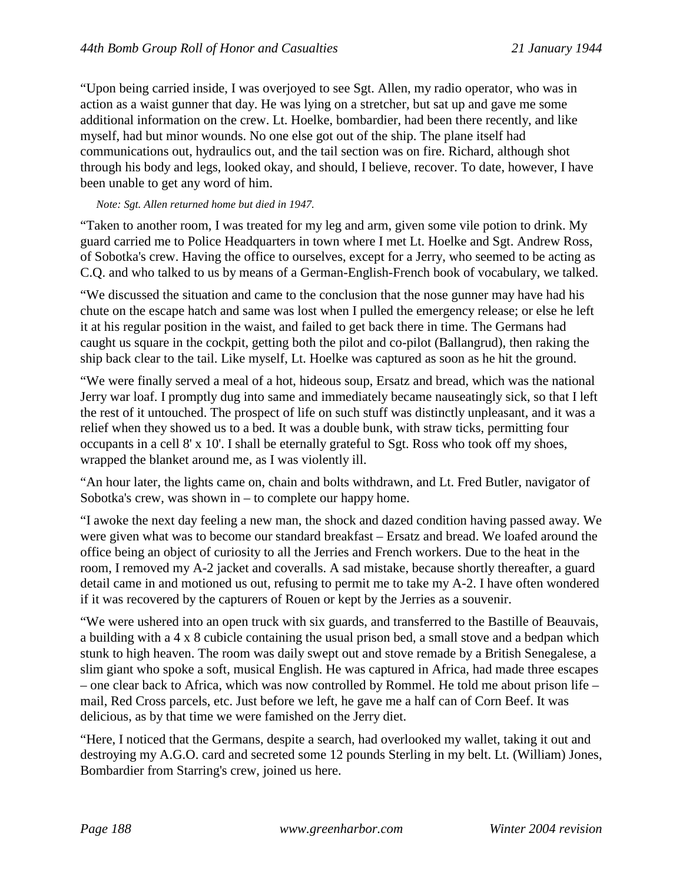"Upon being carried inside, I was overjoyed to see Sgt. Allen, my radio operator, who was in action as a waist gunner that day. He was lying on a stretcher, but sat up and gave me some additional information on the crew. Lt. Hoelke, bombardier, had been there recently, and like myself, had but minor wounds. No one else got out of the ship. The plane itself had communications out, hydraulics out, and the tail section was on fire. Richard, although shot through his body and legs, looked okay, and should, I believe, recover. To date, however, I have been unable to get any word of him.

### *Note: Sgt. Allen returned home but died in 1947.*

"Taken to another room, I was treated for my leg and arm, given some vile potion to drink. My guard carried me to Police Headquarters in town where I met Lt. Hoelke and Sgt. Andrew Ross, of Sobotka's crew. Having the office to ourselves, except for a Jerry, who seemed to be acting as C.Q. and who talked to us by means of a German-English-French book of vocabulary, we talked.

"We discussed the situation and came to the conclusion that the nose gunner may have had his chute on the escape hatch and same was lost when I pulled the emergency release; or else he left it at his regular position in the waist, and failed to get back there in time. The Germans had caught us square in the cockpit, getting both the pilot and co-pilot (Ballangrud), then raking the ship back clear to the tail. Like myself, Lt. Hoelke was captured as soon as he hit the ground.

"We were finally served a meal of a hot, hideous soup, Ersatz and bread, which was the national Jerry war loaf. I promptly dug into same and immediately became nauseatingly sick, so that I left the rest of it untouched. The prospect of life on such stuff was distinctly unpleasant, and it was a relief when they showed us to a bed. It was a double bunk, with straw ticks, permitting four occupants in a cell 8' x 10'. I shall be eternally grateful to Sgt. Ross who took off my shoes, wrapped the blanket around me, as I was violently ill.

"An hour later, the lights came on, chain and bolts withdrawn, and Lt. Fred Butler, navigator of Sobotka's crew, was shown in – to complete our happy home.

"I awoke the next day feeling a new man, the shock and dazed condition having passed away. We were given what was to become our standard breakfast – Ersatz and bread. We loafed around the office being an object of curiosity to all the Jerries and French workers. Due to the heat in the room, I removed my A-2 jacket and coveralls. A sad mistake, because shortly thereafter, a guard detail came in and motioned us out, refusing to permit me to take my A-2. I have often wondered if it was recovered by the capturers of Rouen or kept by the Jerries as a souvenir.

"We were ushered into an open truck with six guards, and transferred to the Bastille of Beauvais, a building with a 4 x 8 cubicle containing the usual prison bed, a small stove and a bedpan which stunk to high heaven. The room was daily swept out and stove remade by a British Senegalese, a slim giant who spoke a soft, musical English. He was captured in Africa, had made three escapes – one clear back to Africa, which was now controlled by Rommel. He told me about prison life – mail, Red Cross parcels, etc. Just before we left, he gave me a half can of Corn Beef. It was delicious, as by that time we were famished on the Jerry diet.

"Here, I noticed that the Germans, despite a search, had overlooked my wallet, taking it out and destroying my A.G.O. card and secreted some 12 pounds Sterling in my belt. Lt. (William) Jones, Bombardier from Starring's crew, joined us here.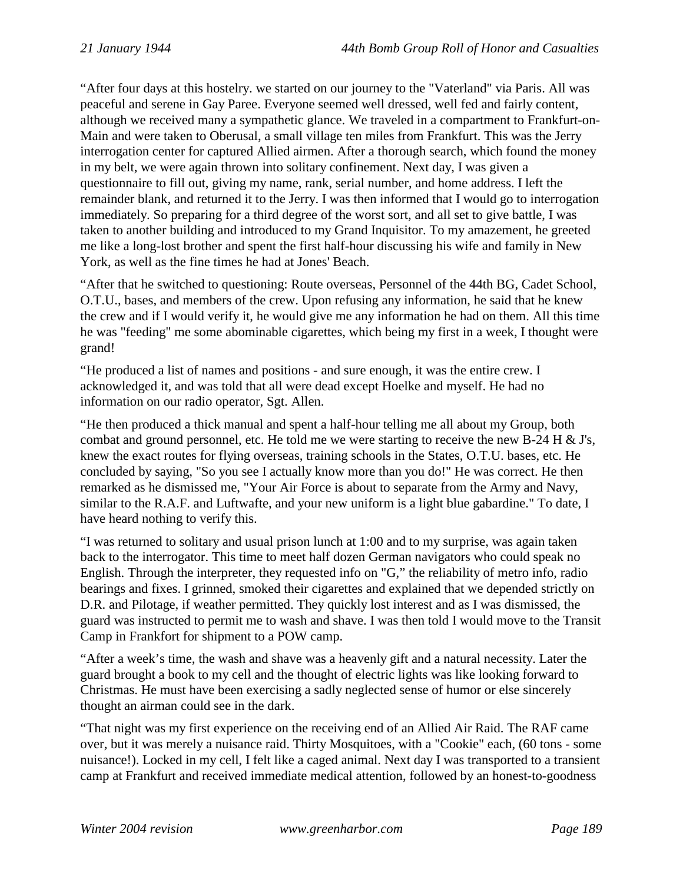"After four days at this hostelry. we started on our journey to the "Vaterland" via Paris. All was peaceful and serene in Gay Paree. Everyone seemed well dressed, well fed and fairly content, although we received many a sympathetic glance. We traveled in a compartment to Frankfurt-on-Main and were taken to Oberusal, a small village ten miles from Frankfurt. This was the Jerry interrogation center for captured Allied airmen. After a thorough search, which found the money in my belt, we were again thrown into solitary confinement. Next day, I was given a questionnaire to fill out, giving my name, rank, serial number, and home address. I left the remainder blank, and returned it to the Jerry. I was then informed that I would go to interrogation immediately. So preparing for a third degree of the worst sort, and all set to give battle, I was taken to another building and introduced to my Grand Inquisitor. To my amazement, he greeted me like a long-lost brother and spent the first half-hour discussing his wife and family in New York, as well as the fine times he had at Jones' Beach.

"After that he switched to questioning: Route overseas, Personnel of the 44th BG, Cadet School, O.T.U., bases, and members of the crew. Upon refusing any information, he said that he knew the crew and if I would verify it, he would give me any information he had on them. All this time he was "feeding" me some abominable cigarettes, which being my first in a week, I thought were grand!

"He produced a list of names and positions - and sure enough, it was the entire crew. I acknowledged it, and was told that all were dead except Hoelke and myself. He had no information on our radio operator, Sgt. Allen.

"He then produced a thick manual and spent a half-hour telling me all about my Group, both combat and ground personnel, etc. He told me we were starting to receive the new B-24 H  $\&$  J's, knew the exact routes for flying overseas, training schools in the States, O.T.U. bases, etc. He concluded by saying, "So you see I actually know more than you do!" He was correct. He then remarked as he dismissed me, "Your Air Force is about to separate from the Army and Navy, similar to the R.A.F. and Luftwafte, and your new uniform is a light blue gabardine." To date, I have heard nothing to verify this.

"I was returned to solitary and usual prison lunch at 1:00 and to my surprise, was again taken back to the interrogator. This time to meet half dozen German navigators who could speak no English. Through the interpreter, they requested info on "G," the reliability of metro info, radio bearings and fixes. I grinned, smoked their cigarettes and explained that we depended strictly on D.R. and Pilotage, if weather permitted. They quickly lost interest and as I was dismissed, the guard was instructed to permit me to wash and shave. I was then told I would move to the Transit Camp in Frankfort for shipment to a POW camp.

"After a week's time, the wash and shave was a heavenly gift and a natural necessity. Later the guard brought a book to my cell and the thought of electric lights was like looking forward to Christmas. He must have been exercising a sadly neglected sense of humor or else sincerely thought an airman could see in the dark.

"That night was my first experience on the receiving end of an Allied Air Raid. The RAF came over, but it was merely a nuisance raid. Thirty Mosquitoes, with a "Cookie" each, (60 tons - some nuisance!). Locked in my cell, I felt like a caged animal. Next day I was transported to a transient camp at Frankfurt and received immediate medical attention, followed by an honest-to-goodness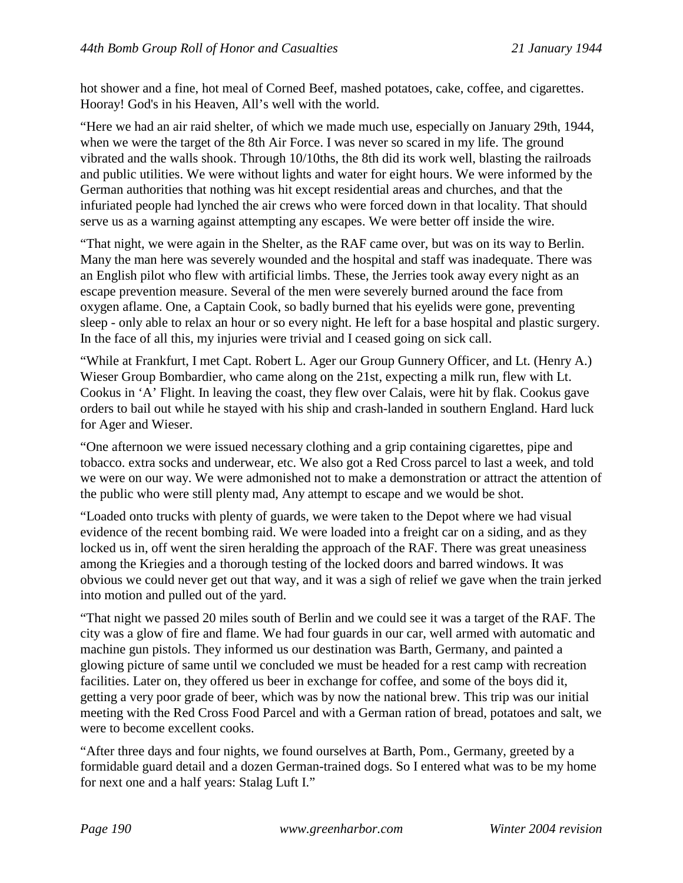hot shower and a fine, hot meal of Corned Beef, mashed potatoes, cake, coffee, and cigarettes. Hooray! God's in his Heaven, All's well with the world.

"Here we had an air raid shelter, of which we made much use, especially on January 29th, 1944, when we were the target of the 8th Air Force. I was never so scared in my life. The ground vibrated and the walls shook. Through 10/10ths, the 8th did its work well, blasting the railroads and public utilities. We were without lights and water for eight hours. We were informed by the German authorities that nothing was hit except residential areas and churches, and that the infuriated people had lynched the air crews who were forced down in that locality. That should serve us as a warning against attempting any escapes. We were better off inside the wire.

"That night, we were again in the Shelter, as the RAF came over, but was on its way to Berlin. Many the man here was severely wounded and the hospital and staff was inadequate. There was an English pilot who flew with artificial limbs. These, the Jerries took away every night as an escape prevention measure. Several of the men were severely burned around the face from oxygen aflame. One, a Captain Cook, so badly burned that his eyelids were gone, preventing sleep - only able to relax an hour or so every night. He left for a base hospital and plastic surgery. In the face of all this, my injuries were trivial and I ceased going on sick call.

"While at Frankfurt, I met Capt. Robert L. Ager our Group Gunnery Officer, and Lt. (Henry A.) Wieser Group Bombardier, who came along on the 21st, expecting a milk run, flew with Lt. Cookus in 'A' Flight. In leaving the coast, they flew over Calais, were hit by flak. Cookus gave orders to bail out while he stayed with his ship and crash-landed in southern England. Hard luck for Ager and Wieser.

"One afternoon we were issued necessary clothing and a grip containing cigarettes, pipe and tobacco. extra socks and underwear, etc. We also got a Red Cross parcel to last a week, and told we were on our way. We were admonished not to make a demonstration or attract the attention of the public who were still plenty mad, Any attempt to escape and we would be shot.

"Loaded onto trucks with plenty of guards, we were taken to the Depot where we had visual evidence of the recent bombing raid. We were loaded into a freight car on a siding, and as they locked us in, off went the siren heralding the approach of the RAF. There was great uneasiness among the Kriegies and a thorough testing of the locked doors and barred windows. It was obvious we could never get out that way, and it was a sigh of relief we gave when the train jerked into motion and pulled out of the yard.

"That night we passed 20 miles south of Berlin and we could see it was a target of the RAF. The city was a glow of fire and flame. We had four guards in our car, well armed with automatic and machine gun pistols. They informed us our destination was Barth, Germany, and painted a glowing picture of same until we concluded we must be headed for a rest camp with recreation facilities. Later on, they offered us beer in exchange for coffee, and some of the boys did it, getting a very poor grade of beer, which was by now the national brew. This trip was our initial meeting with the Red Cross Food Parcel and with a German ration of bread, potatoes and salt, we were to become excellent cooks.

"After three days and four nights, we found ourselves at Barth, Pom., Germany, greeted by a formidable guard detail and a dozen German-trained dogs. So I entered what was to be my home for next one and a half years: Stalag Luft I."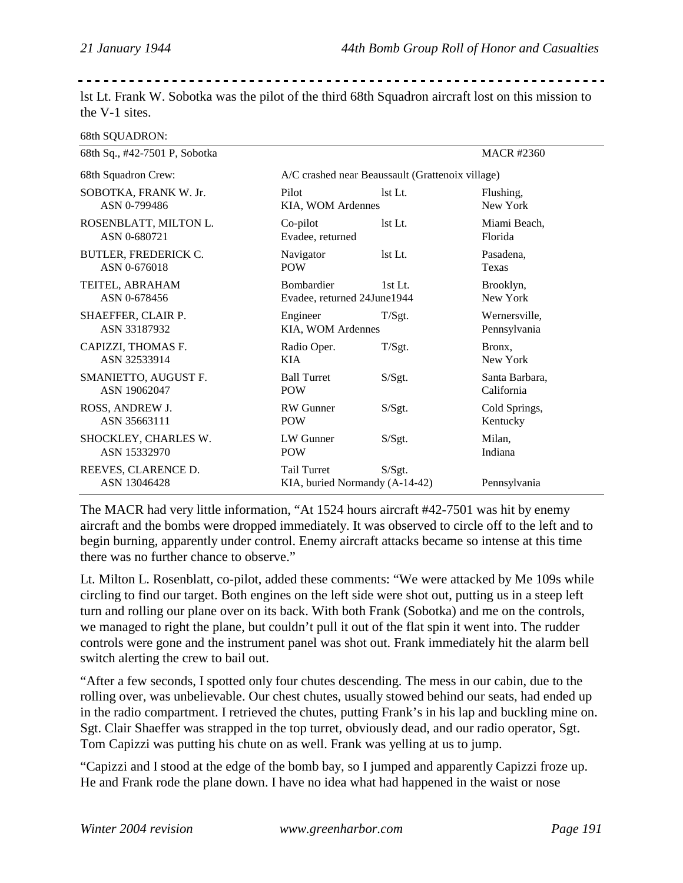| the V-1 sites.                      |                                                      |                                                  |                  |
|-------------------------------------|------------------------------------------------------|--------------------------------------------------|------------------|
| 68th SQUADRON:                      |                                                      |                                                  |                  |
| 68th Sq., #42-7501 P, Sobotka       |                                                      |                                                  | <b>MACR#2360</b> |
| 68th Squadron Crew:                 |                                                      | A/C crashed near Beaussault (Grattenoix village) |                  |
| SOBOTKA, FRANK W. Jr.               | Pilot                                                | 1st Lt.                                          | Flushing.        |
| ASN 0-799486                        | KIA, WOM Ardennes                                    |                                                  | New York         |
| ROSENBLATT, MILTON L.               | Co-pilot                                             | 1st Lt.                                          | Miami Beach,     |
| ASN 0-680721                        | Evadee, returned                                     |                                                  | Florida          |
| BUTLER, FREDERICK C.                | Navigator                                            | 1st Lt.                                          | Pasadena,        |
| ASN 0-676018                        | <b>POW</b>                                           |                                                  | Texas            |
| TEITEL, ABRAHAM                     | Bombardier                                           | $1st$ Lt.                                        | Brooklyn,        |
| ASN 0-678456                        | Evadee, returned 24June1944                          |                                                  | New York         |
| SHAEFFER, CLAIR P.                  | Engineer                                             | T/Sgt.                                           | Wernersville,    |
| ASN 33187932                        | KIA, WOM Ardennes                                    |                                                  | Pennsylvania     |
| CAPIZZI, THOMAS F.                  | Radio Oper.                                          | T/Sgt.                                           | Bronx,           |
| ASN 32533914                        | <b>KIA</b>                                           |                                                  | New York         |
| SMANIETTO, AUGUST F.                | <b>Ball Turret</b>                                   | S/Sgt.                                           | Santa Barbara,   |
| ASN 19062047                        | <b>POW</b>                                           |                                                  | California       |
| ROSS, ANDREW J.                     | <b>RW</b> Gunner                                     | S/Sgt.                                           | Cold Springs,    |
| ASN 35663111                        | <b>POW</b>                                           |                                                  | Kentucky         |
| SHOCKLEY, CHARLES W.                | LW Gunner                                            | S/Sgt.                                           | Milan,           |
| ASN 15332970                        | <b>POW</b>                                           |                                                  | Indiana          |
| REEVES, CLARENCE D.<br>ASN 13046428 | <b>Tail Turret</b><br>KIA, buried Normandy (A-14-42) | S/Sgt.                                           | Pennsylvania     |

lst Lt. Frank W. Sobotka was the pilot of the third 68th Squadron aircraft lost on this mission to

The MACR had very little information, "At 1524 hours aircraft #42-7501 was hit by enemy aircraft and the bombs were dropped immediately. It was observed to circle off to the left and to begin burning, apparently under control. Enemy aircraft attacks became so intense at this time there was no further chance to observe."

Lt. Milton L. Rosenblatt, co-pilot, added these comments: "We were attacked by Me 109s while circling to find our target. Both engines on the left side were shot out, putting us in a steep left turn and rolling our plane over on its back. With both Frank (Sobotka) and me on the controls, we managed to right the plane, but couldn't pull it out of the flat spin it went into. The rudder controls were gone and the instrument panel was shot out. Frank immediately hit the alarm bell switch alerting the crew to bail out.

"After a few seconds, I spotted only four chutes descending. The mess in our cabin, due to the rolling over, was unbelievable. Our chest chutes, usually stowed behind our seats, had ended up in the radio compartment. I retrieved the chutes, putting Frank's in his lap and buckling mine on. Sgt. Clair Shaeffer was strapped in the top turret, obviously dead, and our radio operator, Sgt. Tom Capizzi was putting his chute on as well. Frank was yelling at us to jump.

"Capizzi and I stood at the edge of the bomb bay, so I jumped and apparently Capizzi froze up. He and Frank rode the plane down. I have no idea what had happened in the waist or nose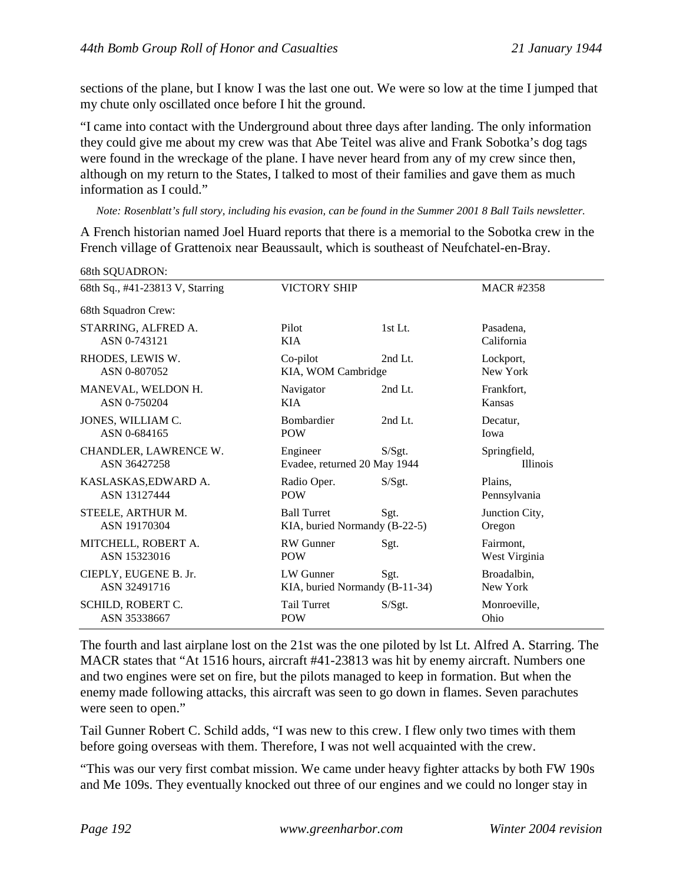sections of the plane, but I know I was the last one out. We were so low at the time I jumped that my chute only oscillated once before I hit the ground.

"I came into contact with the Underground about three days after landing. The only information they could give me about my crew was that Abe Teitel was alive and Frank Sobotka's dog tags were found in the wreckage of the plane. I have never heard from any of my crew since then, although on my return to the States, I talked to most of their families and gave them as much information as I could."

*Note: Rosenblatt's full story, including his evasion, can be found in the Summer 2001 8 Ball Tails newsletter.*

A French historian named Joel Huard reports that there is a memorial to the Sobotka crew in the French village of Grattenoix near Beaussault, which is southeast of Neufchatel-en-Bray.

| 68th Sq., #41-23813 V, Starring | <b>VICTORY SHIP</b>            |           | <b>MACR #2358</b> |
|---------------------------------|--------------------------------|-----------|-------------------|
| 68th Squadron Crew:             |                                |           |                   |
| STARRING, ALFRED A.             | Pilot                          | $1st$ Lt. | Pasadena.         |
| ASN 0-743121                    | <b>KIA</b>                     |           | California        |
| RHODES, LEWIS W.                | Co-pilot                       | 2nd Lt.   | Lockport,         |
| ASN 0-807052                    | KIA, WOM Cambridge             |           | New York          |
| MANEVAL, WELDON H.              | Navigator                      | 2nd Lt.   | Frankfort,        |
| ASN 0-750204                    | KIA.                           |           | Kansas            |
| JONES, WILLIAM C.               | <b>Bombardier</b>              | 2nd Lt.   | Decatur,          |
| ASN 0-684165                    | <b>POW</b>                     |           | Iowa              |
| CHANDLER, LAWRENCE W.           | Engineer                       | S/Sgt.    | Springfield,      |
| ASN 36427258                    | Evadee, returned 20 May 1944   |           | <b>Illinois</b>   |
| KASLASKAS, EDWARD A.            | Radio Oper.                    | S/Sgt.    | Plains,           |
| ASN 13127444                    | <b>POW</b>                     |           | Pennsylvania      |
| STEELE, ARTHUR M.               | <b>Ball Turret</b>             | Sgt.      | Junction City,    |
| ASN 19170304                    | KIA, buried Normandy (B-22-5)  |           | Oregon            |
| MITCHELL, ROBERT A.             | <b>RW</b> Gunner               | Sgt.      | Fairmont,         |
| ASN 15323016                    | <b>POW</b>                     |           | West Virginia     |
| CIEPLY, EUGENE B. Jr.           | LW Gunner                      | Sgt.      | Broadalbin,       |
| ASN 32491716                    | KIA, buried Normandy (B-11-34) |           | New York          |
| SCHILD, ROBERT C.               | Tail Turret                    | S/Sgt.    | Monroeville,      |
| ASN 35338667                    | <b>POW</b>                     |           | Ohio              |

 $68th$  SOUADRON:

The fourth and last airplane lost on the 21st was the one piloted by lst Lt. Alfred A. Starring. The MACR states that "At 1516 hours, aircraft #41-23813 was hit by enemy aircraft. Numbers one and two engines were set on fire, but the pilots managed to keep in formation. But when the enemy made following attacks, this aircraft was seen to go down in flames. Seven parachutes were seen to open."

Tail Gunner Robert C. Schild adds, "I was new to this crew. I flew only two times with them before going overseas with them. Therefore, I was not well acquainted with the crew.

"This was our very first combat mission. We came under heavy fighter attacks by both FW 190s and Me 109s. They eventually knocked out three of our engines and we could no longer stay in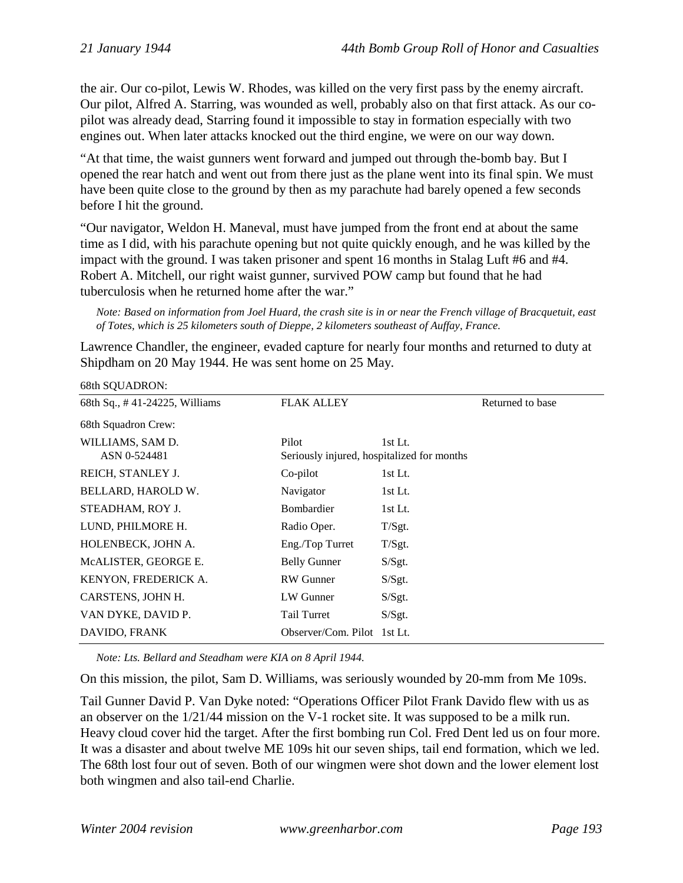the air. Our co-pilot, Lewis W. Rhodes, was killed on the very first pass by the enemy aircraft. Our pilot, Alfred A. Starring, was wounded as well, probably also on that first attack. As our copilot was already dead, Starring found it impossible to stay in formation especially with two engines out. When later attacks knocked out the third engine, we were on our way down.

"At that time, the waist gunners went forward and jumped out through the-bomb bay. But I opened the rear hatch and went out from there just as the plane went into its final spin. We must have been quite close to the ground by then as my parachute had barely opened a few seconds before I hit the ground.

"Our navigator, Weldon H. Maneval, must have jumped from the front end at about the same time as I did, with his parachute opening but not quite quickly enough, and he was killed by the impact with the ground. I was taken prisoner and spent 16 months in Stalag Luft #6 and #4. Robert A. Mitchell, our right waist gunner, survived POW camp but found that he had tuberculosis when he returned home after the war."

*Note: Based on information from Joel Huard, the crash site is in or near the French village of Bracquetuit, east of Totes, which is 25 kilometers south of Dieppe, 2 kilometers southeast of Auffay, France.*

Lawrence Chandler, the engineer, evaded capture for nearly four months and returned to duty at Shipdham on 20 May 1944. He was sent home on 25 May.

| 68th SQUADRON:                   |                                                     |         |                  |
|----------------------------------|-----------------------------------------------------|---------|------------------|
| 68th Sq., #41-24225, Williams    | <b>FLAK ALLEY</b>                                   |         | Returned to base |
| 68th Squadron Crew:              |                                                     |         |                  |
| WILLIAMS, SAM D.<br>ASN 0-524481 | Pilot<br>Seriously injured, hospitalized for months | 1st Lt. |                  |
| REICH, STANLEY J.                | Co-pilot                                            | 1st Lt. |                  |
| BELLARD, HAROLD W.               | Navigator                                           | 1st Lt. |                  |
| STEADHAM, ROY J.                 | Bombardier                                          | 1st Lt. |                  |
| LUND, PHILMORE H.                | Radio Oper.                                         | T/Sgt.  |                  |
| HOLENBECK, JOHN A.               | Eng./Top Turret                                     | T/Sgt.  |                  |
| MCALISTER, GEORGE E.             | <b>Belly Gunner</b>                                 | S/Sgt.  |                  |
| KENYON, FREDERICK A.             | RW Gunner                                           | S/Sgt.  |                  |
| CARSTENS, JOHN H.                | LW Gunner                                           | S/Sgt.  |                  |
| VAN DYKE, DAVID P.               | Tail Turret                                         | S/Sgt.  |                  |
| DAVIDO, FRANK                    | Observer/Com. Pilot 1st Lt.                         |         |                  |

*Note: Lts. Bellard and Steadham were KIA on 8 April 1944.*

On this mission, the pilot, Sam D. Williams, was seriously wounded by 20-mm from Me 109s.

Tail Gunner David P. Van Dyke noted: "Operations Officer Pilot Frank Davido flew with us as an observer on the 1/21/44 mission on the V-1 rocket site. It was supposed to be a milk run. Heavy cloud cover hid the target. After the first bombing run Col. Fred Dent led us on four more. It was a disaster and about twelve ME 109s hit our seven ships, tail end formation, which we led. The 68th lost four out of seven. Both of our wingmen were shot down and the lower element lost both wingmen and also tail-end Charlie.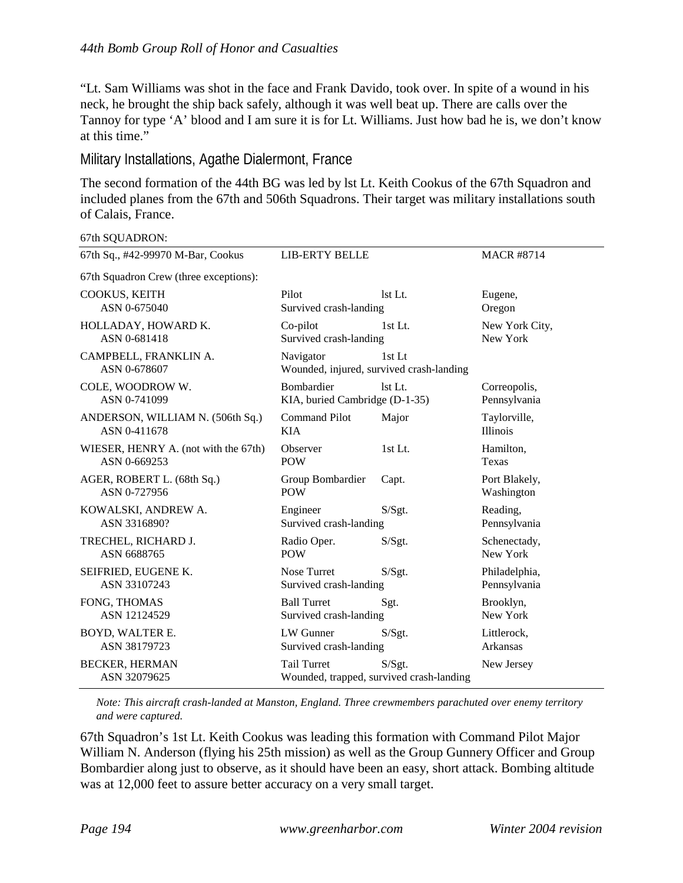"Lt. Sam Williams was shot in the face and Frank Davido, took over. In spite of a wound in his neck, he brought the ship back safely, although it was well beat up. There are calls over the Tannoy for type 'A' blood and I am sure it is for Lt. Williams. Just how bad he is, we don't know at this time."

Military Installations, Agathe Dialermont, France

The second formation of the 44th BG was led by lst Lt. Keith Cookus of the 67th Squadron and included planes from the 67th and 506th Squadrons. Their target was military installations south of Calais, France.

67th SQUADRON:

| 67th Sq., #42-99970 M-Bar, Cookus      | <b>LIB-ERTY BELLE</b>                                          |         | <b>MACR #8714</b> |
|----------------------------------------|----------------------------------------------------------------|---------|-------------------|
| 67th Squadron Crew (three exceptions): |                                                                |         |                   |
| COOKUS, KEITH                          | Pilot                                                          | lst Lt. | Eugene,           |
| ASN 0-675040                           | Survived crash-landing                                         |         | Oregon            |
| HOLLADAY, HOWARD K.                    | Co-pilot                                                       | 1st Lt. | New York City,    |
| ASN 0-681418                           | Survived crash-landing                                         |         | New York          |
| CAMPBELL, FRANKLIN A.<br>ASN 0-678607  | Navigator<br>Wounded, injured, survived crash-landing          | 1st Lt  |                   |
| COLE, WOODROW W.                       | <b>Bombardier</b>                                              | 1st Lt. | Correopolis,      |
| ASN 0-741099                           | KIA, buried Cambridge (D-1-35)                                 |         | Pennsylvania      |
| ANDERSON, WILLIAM N. (506th Sq.)       | <b>Command Pilot</b>                                           | Major   | Taylorville,      |
| ASN 0-411678                           | <b>KIA</b>                                                     |         | <b>Illinois</b>   |
| WIESER, HENRY A. (not with the 67th)   | Observer                                                       | 1st Lt. | Hamilton,         |
| ASN 0-669253                           | <b>POW</b>                                                     |         | Texas             |
| AGER, ROBERT L. (68th Sq.)             | Group Bombardier                                               | Capt.   | Port Blakely,     |
| ASN 0-727956                           | <b>POW</b>                                                     |         | Washington        |
| KOWALSKI, ANDREW A.                    | Engineer                                                       | S/Sgt.  | Reading,          |
| ASN 3316890?                           | Survived crash-landing                                         |         | Pennsylvania      |
| TRECHEL, RICHARD J.                    | Radio Oper.                                                    | S/Sgt.  | Schenectady,      |
| ASN 6688765                            | <b>POW</b>                                                     |         | New York          |
| SEIFRIED, EUGENE K.                    | Nose Turret                                                    | S/Sgt.  | Philadelphia,     |
| ASN 33107243                           | Survived crash-landing                                         |         | Pennsylvania      |
| FONG, THOMAS                           | <b>Ball Turret</b>                                             | Sgt.    | Brooklyn,         |
| ASN 12124529                           | Survived crash-landing                                         |         | New York          |
| BOYD, WALTER E.                        | LW Gunner                                                      | S/Sgt.  | Littlerock,       |
| ASN 38179723                           | Survived crash-landing                                         |         | Arkansas          |
| <b>BECKER, HERMAN</b><br>ASN 32079625  | <b>Tail Turret</b><br>Wounded, trapped, survived crash-landing | S/Sgt.  | New Jersey        |

*Note: This aircraft crash-landed at Manston, England. Three crewmembers parachuted over enemy territory and were captured.*

67th Squadron's 1st Lt. Keith Cookus was leading this formation with Command Pilot Major William N. Anderson (flying his 25th mission) as well as the Group Gunnery Officer and Group Bombardier along just to observe, as it should have been an easy, short attack. Bombing altitude was at 12,000 feet to assure better accuracy on a very small target.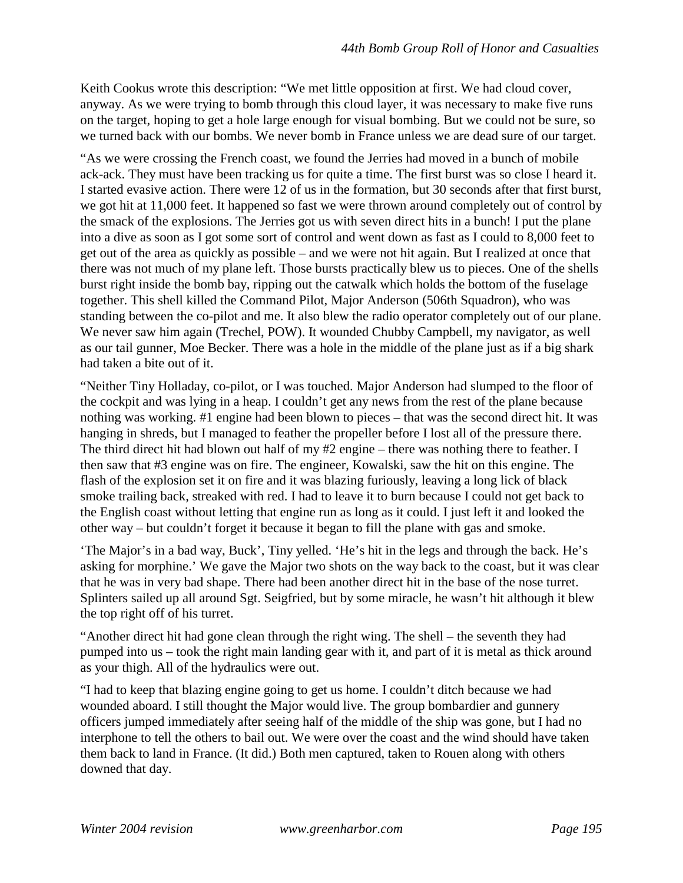Keith Cookus wrote this description: "We met little opposition at first. We had cloud cover, anyway. As we were trying to bomb through this cloud layer, it was necessary to make five runs on the target, hoping to get a hole large enough for visual bombing. But we could not be sure, so we turned back with our bombs. We never bomb in France unless we are dead sure of our target.

"As we were crossing the French coast, we found the Jerries had moved in a bunch of mobile ack-ack. They must have been tracking us for quite a time. The first burst was so close I heard it. I started evasive action. There were 12 of us in the formation, but 30 seconds after that first burst, we got hit at 11,000 feet. It happened so fast we were thrown around completely out of control by the smack of the explosions. The Jerries got us with seven direct hits in a bunch! I put the plane into a dive as soon as I got some sort of control and went down as fast as I could to 8,000 feet to get out of the area as quickly as possible – and we were not hit again. But I realized at once that there was not much of my plane left. Those bursts practically blew us to pieces. One of the shells burst right inside the bomb bay, ripping out the catwalk which holds the bottom of the fuselage together. This shell killed the Command Pilot, Major Anderson (506th Squadron), who was standing between the co-pilot and me. It also blew the radio operator completely out of our plane. We never saw him again (Trechel, POW). It wounded Chubby Campbell, my navigator, as well as our tail gunner, Moe Becker. There was a hole in the middle of the plane just as if a big shark had taken a bite out of it.

"Neither Tiny Holladay, co-pilot, or I was touched. Major Anderson had slumped to the floor of the cockpit and was lying in a heap. I couldn't get any news from the rest of the plane because nothing was working. #1 engine had been blown to pieces – that was the second direct hit. It was hanging in shreds, but I managed to feather the propeller before I lost all of the pressure there. The third direct hit had blown out half of my #2 engine – there was nothing there to feather. I then saw that #3 engine was on fire. The engineer, Kowalski, saw the hit on this engine. The flash of the explosion set it on fire and it was blazing furiously, leaving a long lick of black smoke trailing back, streaked with red. I had to leave it to burn because I could not get back to the English coast without letting that engine run as long as it could. I just left it and looked the other way – but couldn't forget it because it began to fill the plane with gas and smoke.

'The Major's in a bad way, Buck', Tiny yelled. 'He's hit in the legs and through the back. He's asking for morphine.' We gave the Major two shots on the way back to the coast, but it was clear that he was in very bad shape. There had been another direct hit in the base of the nose turret. Splinters sailed up all around Sgt. Seigfried, but by some miracle, he wasn't hit although it blew the top right off of his turret.

"Another direct hit had gone clean through the right wing. The shell – the seventh they had pumped into us – took the right main landing gear with it, and part of it is metal as thick around as your thigh. All of the hydraulics were out.

"I had to keep that blazing engine going to get us home. I couldn't ditch because we had wounded aboard. I still thought the Major would live. The group bombardier and gunnery officers jumped immediately after seeing half of the middle of the ship was gone, but I had no interphone to tell the others to bail out. We were over the coast and the wind should have taken them back to land in France. (It did.) Both men captured, taken to Rouen along with others downed that day.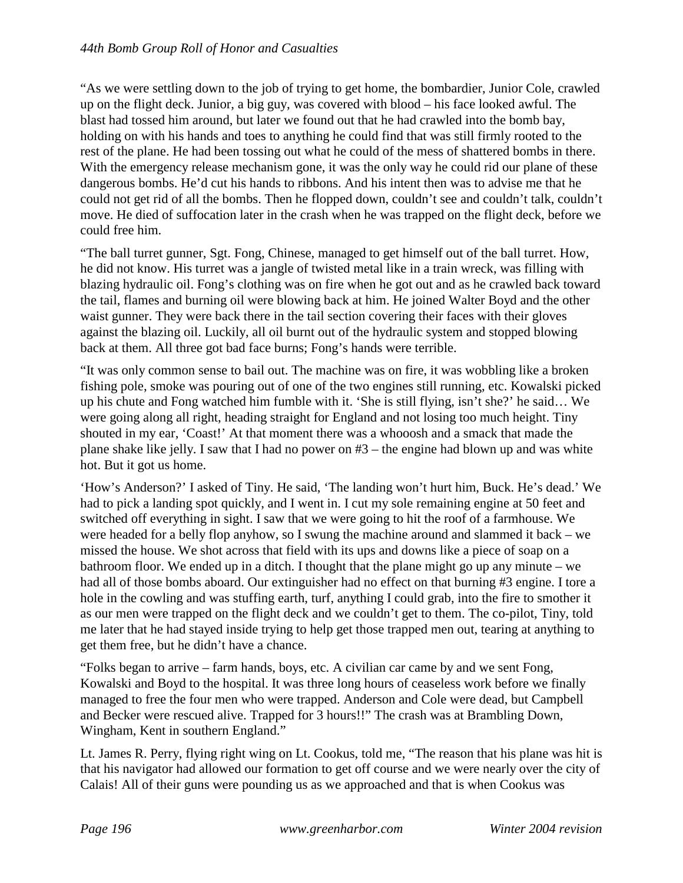"As we were settling down to the job of trying to get home, the bombardier, Junior Cole, crawled up on the flight deck. Junior, a big guy, was covered with blood – his face looked awful. The blast had tossed him around, but later we found out that he had crawled into the bomb bay, holding on with his hands and toes to anything he could find that was still firmly rooted to the rest of the plane. He had been tossing out what he could of the mess of shattered bombs in there. With the emergency release mechanism gone, it was the only way he could rid our plane of these dangerous bombs. He'd cut his hands to ribbons. And his intent then was to advise me that he could not get rid of all the bombs. Then he flopped down, couldn't see and couldn't talk, couldn't move. He died of suffocation later in the crash when he was trapped on the flight deck, before we could free him.

"The ball turret gunner, Sgt. Fong, Chinese, managed to get himself out of the ball turret. How, he did not know. His turret was a jangle of twisted metal like in a train wreck, was filling with blazing hydraulic oil. Fong's clothing was on fire when he got out and as he crawled back toward the tail, flames and burning oil were blowing back at him. He joined Walter Boyd and the other waist gunner. They were back there in the tail section covering their faces with their gloves against the blazing oil. Luckily, all oil burnt out of the hydraulic system and stopped blowing back at them. All three got bad face burns; Fong's hands were terrible.

"It was only common sense to bail out. The machine was on fire, it was wobbling like a broken fishing pole, smoke was pouring out of one of the two engines still running, etc. Kowalski picked up his chute and Fong watched him fumble with it. 'She is still flying, isn't she?' he said… We were going along all right, heading straight for England and not losing too much height. Tiny shouted in my ear, 'Coast!' At that moment there was a whooosh and a smack that made the plane shake like jelly. I saw that I had no power on #3 – the engine had blown up and was white hot. But it got us home.

'How's Anderson?' I asked of Tiny. He said, 'The landing won't hurt him, Buck. He's dead.' We had to pick a landing spot quickly, and I went in. I cut my sole remaining engine at 50 feet and switched off everything in sight. I saw that we were going to hit the roof of a farmhouse. We were headed for a belly flop anyhow, so I swung the machine around and slammed it back – we missed the house. We shot across that field with its ups and downs like a piece of soap on a bathroom floor. We ended up in a ditch. I thought that the plane might go up any minute – we had all of those bombs aboard. Our extinguisher had no effect on that burning #3 engine. I tore a hole in the cowling and was stuffing earth, turf, anything I could grab, into the fire to smother it as our men were trapped on the flight deck and we couldn't get to them. The co-pilot, Tiny, told me later that he had stayed inside trying to help get those trapped men out, tearing at anything to get them free, but he didn't have a chance.

"Folks began to arrive – farm hands, boys, etc. A civilian car came by and we sent Fong, Kowalski and Boyd to the hospital. It was three long hours of ceaseless work before we finally managed to free the four men who were trapped. Anderson and Cole were dead, but Campbell and Becker were rescued alive. Trapped for 3 hours!!" The crash was at Brambling Down, Wingham, Kent in southern England."

Lt. James R. Perry, flying right wing on Lt. Cookus, told me, "The reason that his plane was hit is that his navigator had allowed our formation to get off course and we were nearly over the city of Calais! All of their guns were pounding us as we approached and that is when Cookus was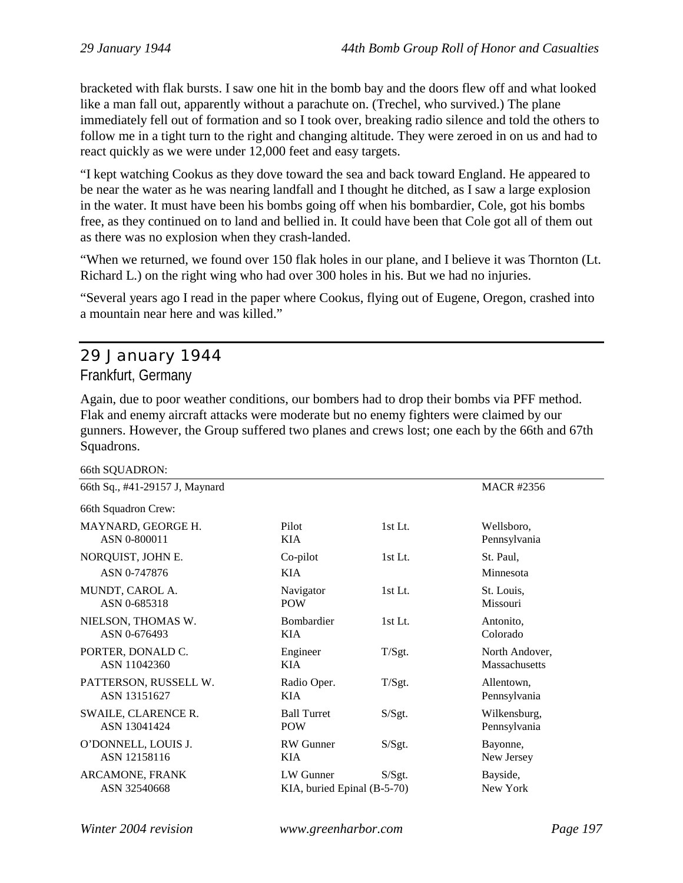bracketed with flak bursts. I saw one hit in the bomb bay and the doors flew off and what looked like a man fall out, apparently without a parachute on. (Trechel, who survived.) The plane immediately fell out of formation and so I took over, breaking radio silence and told the others to follow me in a tight turn to the right and changing altitude. They were zeroed in on us and had to react quickly as we were under 12,000 feet and easy targets.

"I kept watching Cookus as they dove toward the sea and back toward England. He appeared to be near the water as he was nearing landfall and I thought he ditched, as I saw a large explosion in the water. It must have been his bombs going off when his bombardier, Cole, got his bombs free, as they continued on to land and bellied in. It could have been that Cole got all of them out as there was no explosion when they crash-landed.

"When we returned, we found over 150 flak holes in our plane, and I believe it was Thornton (Lt. Richard L.) on the right wing who had over 300 holes in his. But we had no injuries.

"Several years ago I read in the paper where Cookus, flying out of Eugene, Oregon, crashed into a mountain near here and was killed."

# 29 January 1944 Frankfurt, Germany

Again, due to poor weather conditions, our bombers had to drop their bombs via PFF method. Flak and enemy aircraft attacks were moderate but no enemy fighters were claimed by our gunners. However, the Group suffered two planes and crews lost; one each by the 66th and 67th Squadrons.

66th SQUADRON:

| $00$ and $00$ and $00$ and $0$ and $0$ and $0$ and $0$ and $0$ and $0$ and $0$ and $0$ and $0$ and $0$ and $0$ and $0$ and $0$ and $0$ and $0$ and $0$ and $0$ and $0$ and $0$ and $0$ and $0$ and $0$ and $0$ and $0$ and $0$ |                             |         |                   |
|--------------------------------------------------------------------------------------------------------------------------------------------------------------------------------------------------------------------------------|-----------------------------|---------|-------------------|
| 66th Sq., #41-29157 J, Maynard                                                                                                                                                                                                 |                             |         | <b>MACR #2356</b> |
| 66th Squadron Crew:                                                                                                                                                                                                            |                             |         |                   |
| MAYNARD, GEORGE H.                                                                                                                                                                                                             | Pilot                       | 1st Lt. | Wellsboro,        |
| ASN 0-800011                                                                                                                                                                                                                   | <b>KIA</b>                  |         | Pennsylvania      |
| NORQUIST, JOHN E.                                                                                                                                                                                                              | Co-pilot                    | 1st Lt. | St. Paul,         |
| ASN 0-747876                                                                                                                                                                                                                   | KIA.                        |         | Minnesota         |
| MUNDT, CAROL A.                                                                                                                                                                                                                | Navigator                   | 1st Lt. | St. Louis,        |
| ASN 0-685318                                                                                                                                                                                                                   | <b>POW</b>                  |         | Missouri          |
| NIELSON, THOMAS W.                                                                                                                                                                                                             | Bombardier                  | 1st Lt. | Antonito,         |
| ASN 0-676493                                                                                                                                                                                                                   | KIA                         |         | Colorado          |
| PORTER, DONALD C.                                                                                                                                                                                                              | Engineer                    | T/Sgt.  | North Andover,    |
| ASN 11042360                                                                                                                                                                                                                   | KIA                         |         | Massachusetts     |
| PATTERSON, RUSSELL W.                                                                                                                                                                                                          | Radio Oper.                 | T/Sgt.  | Allentown,        |
| ASN 13151627                                                                                                                                                                                                                   | KIA                         |         | Pennsylvania      |
| SWAILE, CLARENCE R.                                                                                                                                                                                                            | <b>Ball Turret</b>          | S/Sgt.  | Wilkensburg,      |
| ASN 13041424                                                                                                                                                                                                                   | <b>POW</b>                  |         | Pennsylvania      |
| O'DONNELL, LOUIS J.                                                                                                                                                                                                            | <b>RW</b> Gunner            | S/Sgt.  | Bayonne,          |
| ASN 12158116                                                                                                                                                                                                                   | <b>KIA</b>                  |         | New Jersey        |
| ARCAMONE, FRANK                                                                                                                                                                                                                | LW Gunner                   | S/Sgt.  | Bayside,          |
| ASN 32540668                                                                                                                                                                                                                   | KIA, buried Epinal (B-5-70) |         | New York          |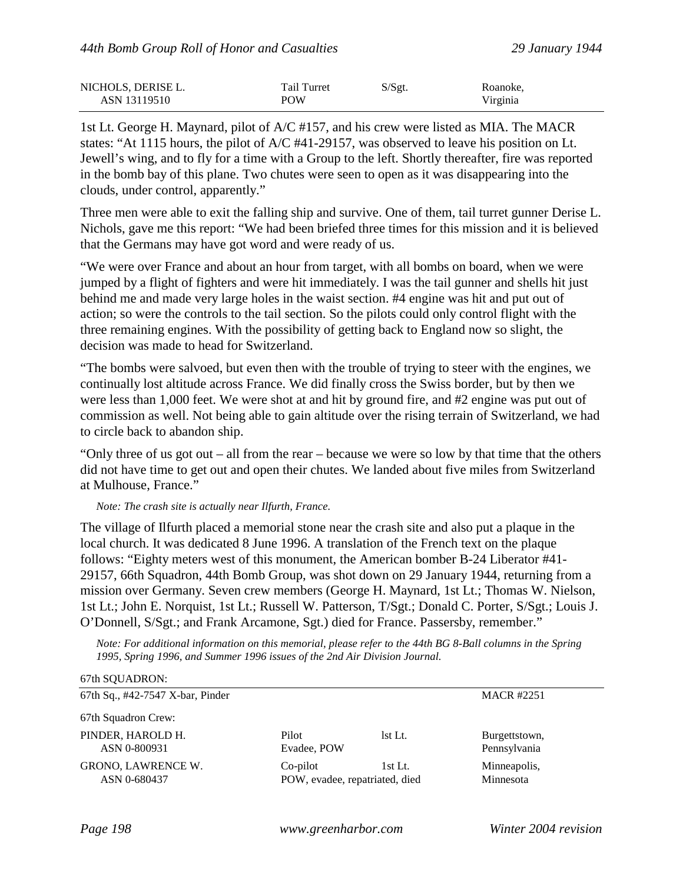| NICHOLS, DERISE L. | Tail Turret | S/Sgt. | Roanoke, |
|--------------------|-------------|--------|----------|
| ASN 13119510       | <b>POW</b>  |        | Virginia |

1st Lt. George H. Maynard, pilot of A/C #157, and his crew were listed as MIA. The MACR states: "At 1115 hours, the pilot of A/C #41-29157, was observed to leave his position on Lt. Jewell's wing, and to fly for a time with a Group to the left. Shortly thereafter, fire was reported in the bomb bay of this plane. Two chutes were seen to open as it was disappearing into the clouds, under control, apparently."

Three men were able to exit the falling ship and survive. One of them, tail turret gunner Derise L. Nichols, gave me this report: "We had been briefed three times for this mission and it is believed that the Germans may have got word and were ready of us.

"We were over France and about an hour from target, with all bombs on board, when we were jumped by a flight of fighters and were hit immediately. I was the tail gunner and shells hit just behind me and made very large holes in the waist section. #4 engine was hit and put out of action; so were the controls to the tail section. So the pilots could only control flight with the three remaining engines. With the possibility of getting back to England now so slight, the decision was made to head for Switzerland.

"The bombs were salvoed, but even then with the trouble of trying to steer with the engines, we continually lost altitude across France. We did finally cross the Swiss border, but by then we were less than 1,000 feet. We were shot at and hit by ground fire, and #2 engine was put out of commission as well. Not being able to gain altitude over the rising terrain of Switzerland, we had to circle back to abandon ship.

"Only three of us got out – all from the rear – because we were so low by that time that the others did not have time to get out and open their chutes. We landed about five miles from Switzerland at Mulhouse, France."

*Note: The crash site is actually near Ilfurth, France.*

The village of Ilfurth placed a memorial stone near the crash site and also put a plaque in the local church. It was dedicated 8 June 1996. A translation of the French text on the plaque follows: "Eighty meters west of this monument, the American bomber B-24 Liberator #41- 29157, 66th Squadron, 44th Bomb Group, was shot down on 29 January 1944, returning from a mission over Germany. Seven crew members (George H. Maynard, 1st Lt.; Thomas W. Nielson, 1st Lt.; John E. Norquist, 1st Lt.; Russell W. Patterson, T/Sgt.; Donald C. Porter, S/Sgt.; Louis J. O'Donnell, S/Sgt.; and Frank Arcamone, Sgt.) died for France. Passersby, remember."

*Note: For additional information on this memorial, please refer to the 44th BG 8-Ball columns in the Spring 1995, Spring 1996, and Summer 1996 issues of the 2nd Air Division Journal.*

| 0/00 SUUADRUN.                   |             |                                |                   |  |
|----------------------------------|-------------|--------------------------------|-------------------|--|
| 67th Sq., #42-7547 X-bar, Pinder |             |                                | <b>MACR #2251</b> |  |
| 67th Squadron Crew:              |             |                                |                   |  |
| PINDER, HAROLD H.                | Pilot       | lst Lt.                        | Burgettstown,     |  |
| ASN 0-800931                     | Evadee, POW |                                | Pennsylvania      |  |
| GRONO, LAWRENCE W.               | Co-pilot    | 1st Lt.                        | Minneapolis,      |  |
| ASN 0-680437                     |             | POW, evadee, repatriated, died |                   |  |
|                                  |             |                                |                   |  |

 $67t$ <sub>b</sub> SQUADRON.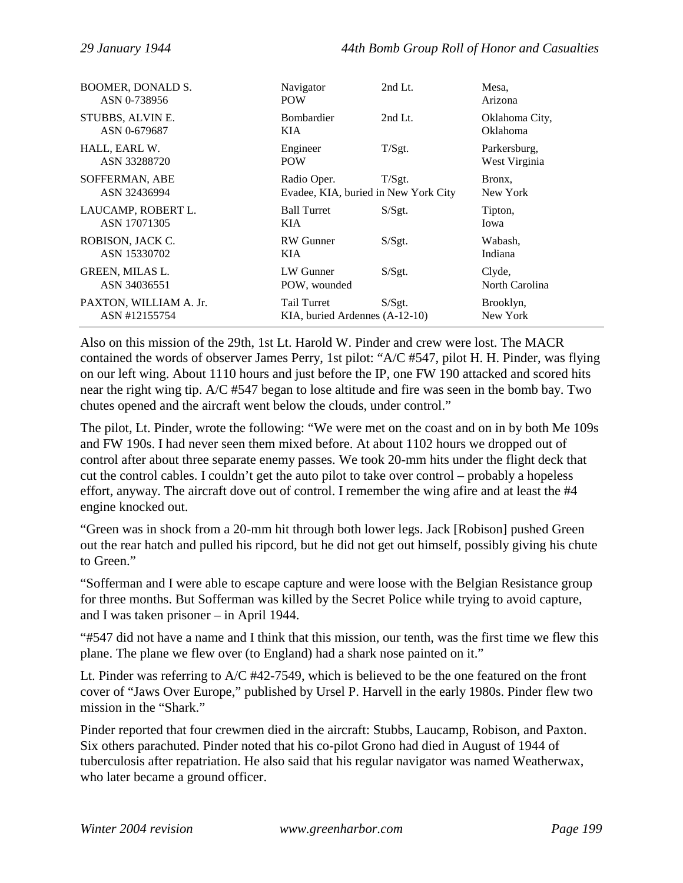| <b>BOOMER, DONALD S.</b> | Navigator                            | 2nd Lt.   | Mesa,           |
|--------------------------|--------------------------------------|-----------|-----------------|
| ASN 0-738956             | <b>POW</b>                           |           | Arizona         |
| STUBBS, ALVIN E.         | <b>Bombardier</b>                    | $2nd$ Lt. | Oklahoma City,  |
| ASN 0-679687             | KIA                                  |           | <b>Oklahoma</b> |
| HALL, EARL W.            | Engineer                             | T/Sgt.    | Parkersburg,    |
| ASN 33288720             | <b>POW</b>                           |           | West Virginia   |
| SOFFERMAN, ABE           | Radio Oper.                          | T/Sgt.    | Bronx.          |
| ASN 32436994             | Evadee, KIA, buried in New York City |           | New York        |
| LAUCAMP, ROBERT L.       | <b>Ball Turret</b>                   | S/Sgt.    | Tipton,         |
| ASN 17071305             | KIA                                  |           | Iowa            |
| ROBISON, JACK C.         | <b>RW</b> Gunner                     | S/Sgt.    | Wabash,         |
| ASN 15330702             | KIA                                  |           | Indiana         |
| GREEN, MILAS L.          | LW Gunner                            | S/Sgt.    | Clyde,          |
| ASN 34036551             | POW, wounded                         |           | North Carolina  |
| PAXTON, WILLIAM A. Jr.   | Tail Turret                          | S/Sgt.    | Brooklyn,       |
| ASN #12155754            | KIA, buried Ardennes (A-12-10)       |           | New York        |

Also on this mission of the 29th, 1st Lt. Harold W. Pinder and crew were lost. The MACR contained the words of observer James Perry, 1st pilot: "A/C #547, pilot H. H. Pinder, was flying on our left wing. About 1110 hours and just before the IP, one FW 190 attacked and scored hits near the right wing tip. A/C #547 began to lose altitude and fire was seen in the bomb bay. Two chutes opened and the aircraft went below the clouds, under control."

The pilot, Lt. Pinder, wrote the following: "We were met on the coast and on in by both Me 109s and FW 190s. I had never seen them mixed before. At about 1102 hours we dropped out of control after about three separate enemy passes. We took 20-mm hits under the flight deck that cut the control cables. I couldn't get the auto pilot to take over control – probably a hopeless effort, anyway. The aircraft dove out of control. I remember the wing afire and at least the #4 engine knocked out.

"Green was in shock from a 20-mm hit through both lower legs. Jack [Robison] pushed Green out the rear hatch and pulled his ripcord, but he did not get out himself, possibly giving his chute to Green."

"Sofferman and I were able to escape capture and were loose with the Belgian Resistance group for three months. But Sofferman was killed by the Secret Police while trying to avoid capture, and I was taken prisoner – in April 1944.

"#547 did not have a name and I think that this mission, our tenth, was the first time we flew this plane. The plane we flew over (to England) had a shark nose painted on it."

Lt. Pinder was referring to A/C #42-7549, which is believed to be the one featured on the front cover of "Jaws Over Europe," published by Ursel P. Harvell in the early 1980s. Pinder flew two mission in the "Shark."

Pinder reported that four crewmen died in the aircraft: Stubbs, Laucamp, Robison, and Paxton. Six others parachuted. Pinder noted that his co-pilot Grono had died in August of 1944 of tuberculosis after repatriation. He also said that his regular navigator was named Weatherwax, who later became a ground officer.